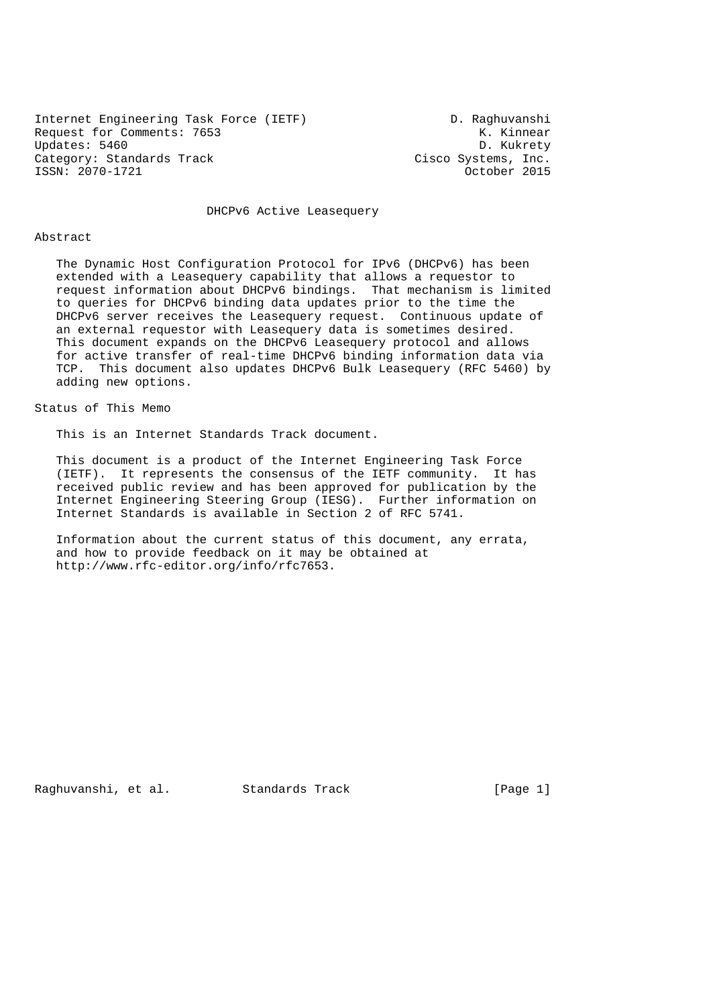Internet Engineering Task Force (IETF) D. Raghuvanshi Request for Comments: 7653<br>Updates: 5460<br>D. Kukrety Updates: 5460 Category: Standards Track Cisco Systems, Inc. ISSN: 2070-1721 October 2015

DHCPv6 Active Leasequery

#### Abstract

 The Dynamic Host Configuration Protocol for IPv6 (DHCPv6) has been extended with a Leasequery capability that allows a requestor to request information about DHCPv6 bindings. That mechanism is limited to queries for DHCPv6 binding data updates prior to the time the DHCPv6 server receives the Leasequery request. Continuous update of an external requestor with Leasequery data is sometimes desired. This document expands on the DHCPv6 Leasequery protocol and allows for active transfer of real-time DHCPv6 binding information data via TCP. This document also updates DHCPv6 Bulk Leasequery (RFC 5460) by adding new options.

## Status of This Memo

This is an Internet Standards Track document.

 This document is a product of the Internet Engineering Task Force (IETF). It represents the consensus of the IETF community. It has received public review and has been approved for publication by the Internet Engineering Steering Group (IESG). Further information on Internet Standards is available in Section 2 of RFC 5741.

 Information about the current status of this document, any errata, and how to provide feedback on it may be obtained at http://www.rfc-editor.org/info/rfc7653.

Raghuvanshi, et al. Standards Track [Page 1]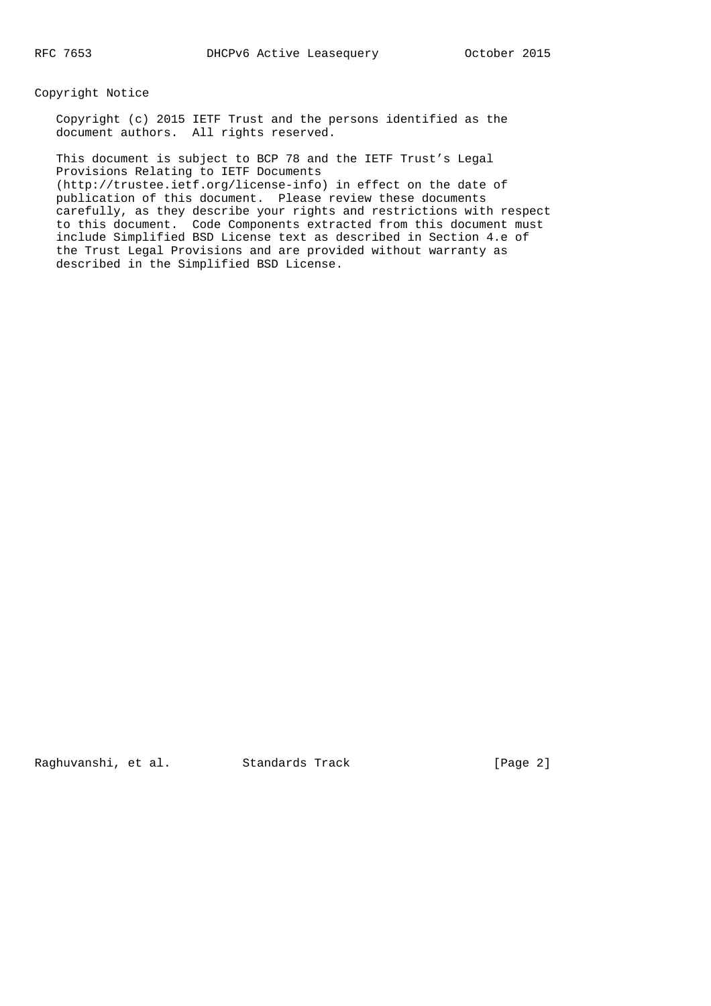Copyright Notice

 Copyright (c) 2015 IETF Trust and the persons identified as the document authors. All rights reserved.

 This document is subject to BCP 78 and the IETF Trust's Legal Provisions Relating to IETF Documents (http://trustee.ietf.org/license-info) in effect on the date of publication of this document. Please review these documents carefully, as they describe your rights and restrictions with respect to this document. Code Components extracted from this document must include Simplified BSD License text as described in Section 4.e of the Trust Legal Provisions and are provided without warranty as described in the Simplified BSD License.

Raghuvanshi, et al. Standards Track [Page 2]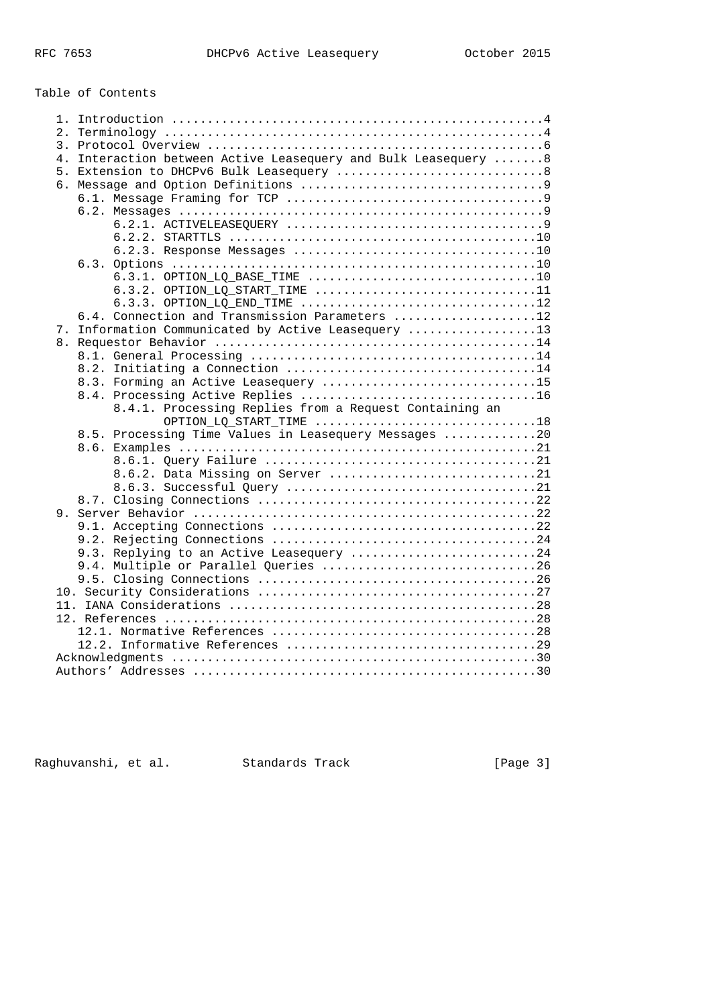# Table of Contents

| 4. Interaction between Active Leasequery and Bulk Leasequery 8 |  |  |  |  |  |
|----------------------------------------------------------------|--|--|--|--|--|
| 5. Extension to DHCPv6 Bulk Leasequery 8                       |  |  |  |  |  |
|                                                                |  |  |  |  |  |
|                                                                |  |  |  |  |  |
|                                                                |  |  |  |  |  |
|                                                                |  |  |  |  |  |
|                                                                |  |  |  |  |  |
|                                                                |  |  |  |  |  |
|                                                                |  |  |  |  |  |
|                                                                |  |  |  |  |  |
|                                                                |  |  |  |  |  |
| 6.3.3. OPTION LO END TIME 12                                   |  |  |  |  |  |
| 6.4. Connection and Transmission Parameters 12                 |  |  |  |  |  |
| 7. Information Communicated by Active Leasequery 13            |  |  |  |  |  |
|                                                                |  |  |  |  |  |
|                                                                |  |  |  |  |  |
|                                                                |  |  |  |  |  |
| 8.3. Forming an Active Leasequery 15                           |  |  |  |  |  |
|                                                                |  |  |  |  |  |
|                                                                |  |  |  |  |  |
| 8.4.1. Processing Replies from a Request Containing an         |  |  |  |  |  |
| OPTION_LQ_START_TIME 18                                        |  |  |  |  |  |
| 8.5. Processing Time Values in Leasequery Messages 20          |  |  |  |  |  |
|                                                                |  |  |  |  |  |
|                                                                |  |  |  |  |  |
| 8.6.2. Data Missing on Server 21                               |  |  |  |  |  |
|                                                                |  |  |  |  |  |
|                                                                |  |  |  |  |  |
|                                                                |  |  |  |  |  |
|                                                                |  |  |  |  |  |
|                                                                |  |  |  |  |  |
| 9.3. Replying to an Active Leasequery 24                       |  |  |  |  |  |
| 9.4. Multiple or Parallel Queries 26                           |  |  |  |  |  |
|                                                                |  |  |  |  |  |
|                                                                |  |  |  |  |  |
|                                                                |  |  |  |  |  |
|                                                                |  |  |  |  |  |
|                                                                |  |  |  |  |  |
|                                                                |  |  |  |  |  |
|                                                                |  |  |  |  |  |

Raghuvanshi, et al. Standards Track (Page 3)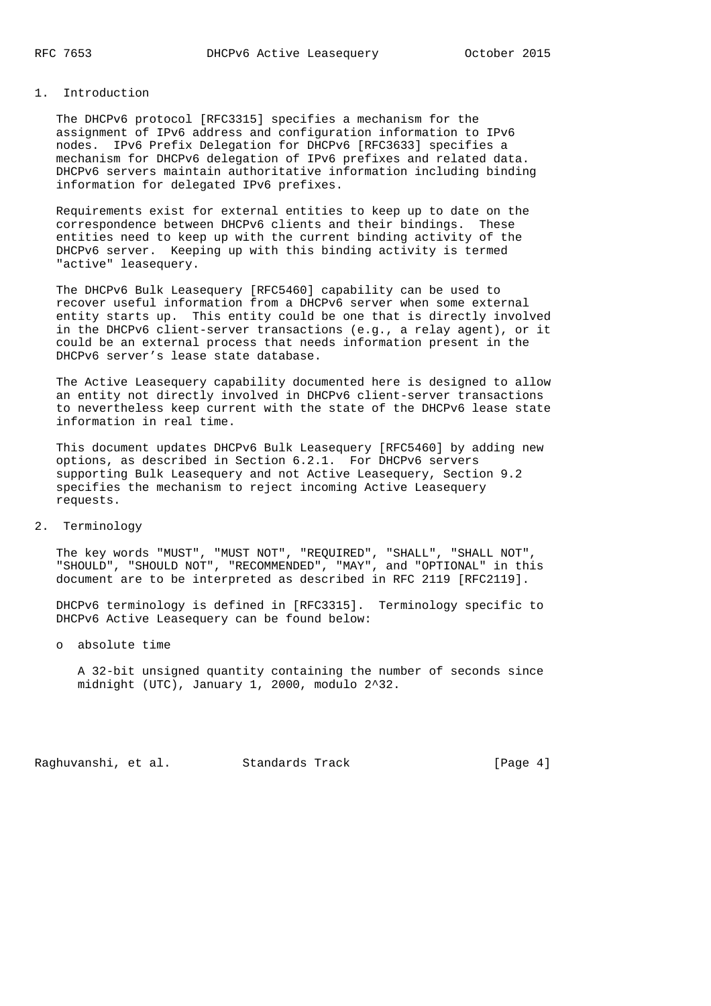## 1. Introduction

 The DHCPv6 protocol [RFC3315] specifies a mechanism for the assignment of IPv6 address and configuration information to IPv6 nodes. IPv6 Prefix Delegation for DHCPv6 [RFC3633] specifies a mechanism for DHCPv6 delegation of IPv6 prefixes and related data. DHCPv6 servers maintain authoritative information including binding information for delegated IPv6 prefixes.

 Requirements exist for external entities to keep up to date on the correspondence between DHCPv6 clients and their bindings. These entities need to keep up with the current binding activity of the DHCPv6 server. Keeping up with this binding activity is termed "active" leasequery.

 The DHCPv6 Bulk Leasequery [RFC5460] capability can be used to recover useful information from a DHCPv6 server when some external entity starts up. This entity could be one that is directly involved in the DHCPv6 client-server transactions (e.g., a relay agent), or it could be an external process that needs information present in the DHCPv6 server's lease state database.

 The Active Leasequery capability documented here is designed to allow an entity not directly involved in DHCPv6 client-server transactions to nevertheless keep current with the state of the DHCPv6 lease state information in real time.

 This document updates DHCPv6 Bulk Leasequery [RFC5460] by adding new options, as described in Section 6.2.1. For DHCPv6 servers supporting Bulk Leasequery and not Active Leasequery, Section 9.2 specifies the mechanism to reject incoming Active Leasequery requests.

2. Terminology

 The key words "MUST", "MUST NOT", "REQUIRED", "SHALL", "SHALL NOT", "SHOULD", "SHOULD NOT", "RECOMMENDED", "MAY", and "OPTIONAL" in this document are to be interpreted as described in RFC 2119 [RFC2119].

 DHCPv6 terminology is defined in [RFC3315]. Terminology specific to DHCPv6 Active Leasequery can be found below:

o absolute time

 A 32-bit unsigned quantity containing the number of seconds since midnight (UTC), January 1, 2000, modulo 2^32.

Raghuvanshi, et al. Standards Track [Page 4]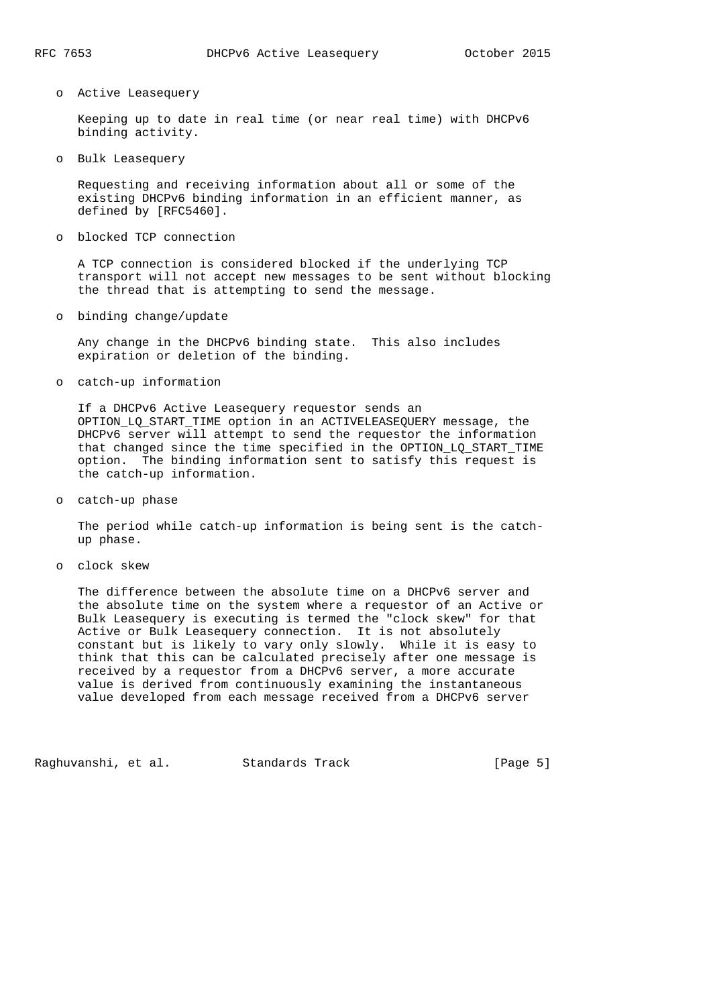#### o Active Leasequery

 Keeping up to date in real time (or near real time) with DHCPv6 binding activity.

o Bulk Leasequery

 Requesting and receiving information about all or some of the existing DHCPv6 binding information in an efficient manner, as defined by [RFC5460].

o blocked TCP connection

 A TCP connection is considered blocked if the underlying TCP transport will not accept new messages to be sent without blocking the thread that is attempting to send the message.

o binding change/update

 Any change in the DHCPv6 binding state. This also includes expiration or deletion of the binding.

o catch-up information

 If a DHCPv6 Active Leasequery requestor sends an OPTION\_LQ\_START\_TIME option in an ACTIVELEASEQUERY message, the DHCPv6 server will attempt to send the requestor the information that changed since the time specified in the OPTION\_LQ\_START\_TIME option. The binding information sent to satisfy this request is the catch-up information.

o catch-up phase

 The period while catch-up information is being sent is the catch up phase.

o clock skew

 The difference between the absolute time on a DHCPv6 server and the absolute time on the system where a requestor of an Active or Bulk Leasequery is executing is termed the "clock skew" for that Active or Bulk Leasequery connection. It is not absolutely constant but is likely to vary only slowly. While it is easy to think that this can be calculated precisely after one message is received by a requestor from a DHCPv6 server, a more accurate value is derived from continuously examining the instantaneous value developed from each message received from a DHCPv6 server

Raghuvanshi, et al. Standards Track [Page 5]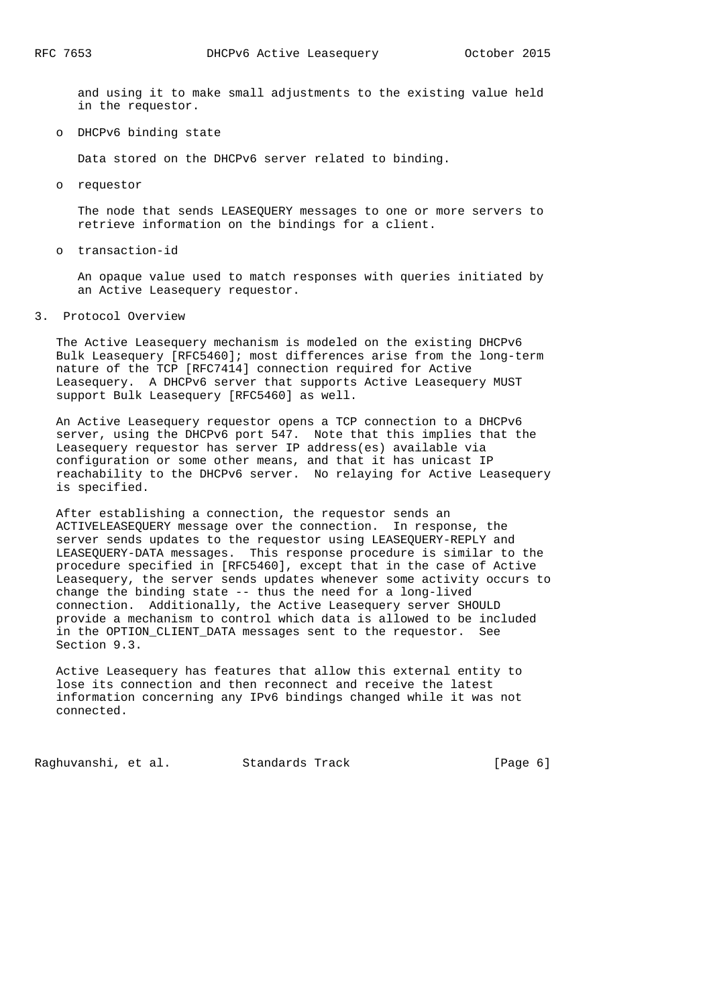and using it to make small adjustments to the existing value held in the requestor.

o DHCPv6 binding state

Data stored on the DHCPv6 server related to binding.

o requestor

 The node that sends LEASEQUERY messages to one or more servers to retrieve information on the bindings for a client.

o transaction-id

 An opaque value used to match responses with queries initiated by an Active Leasequery requestor.

3. Protocol Overview

 The Active Leasequery mechanism is modeled on the existing DHCPv6 Bulk Leasequery [RFC5460]; most differences arise from the long-term nature of the TCP [RFC7414] connection required for Active Leasequery. A DHCPv6 server that supports Active Leasequery MUST support Bulk Leasequery [RFC5460] as well.

 An Active Leasequery requestor opens a TCP connection to a DHCPv6 server, using the DHCPv6 port 547. Note that this implies that the Leasequery requestor has server IP address(es) available via configuration or some other means, and that it has unicast IP reachability to the DHCPv6 server. No relaying for Active Leasequery is specified.

 After establishing a connection, the requestor sends an ACTIVELEASEQUERY message over the connection. In response, the server sends updates to the requestor using LEASEQUERY-REPLY and LEASEQUERY-DATA messages. This response procedure is similar to the procedure specified in [RFC5460], except that in the case of Active Leasequery, the server sends updates whenever some activity occurs to change the binding state -- thus the need for a long-lived connection. Additionally, the Active Leasequery server SHOULD provide a mechanism to control which data is allowed to be included in the OPTION\_CLIENT\_DATA messages sent to the requestor. See Section 9.3.

 Active Leasequery has features that allow this external entity to lose its connection and then reconnect and receive the latest information concerning any IPv6 bindings changed while it was not connected.

Raghuvanshi, et al. Standards Track (Page 6)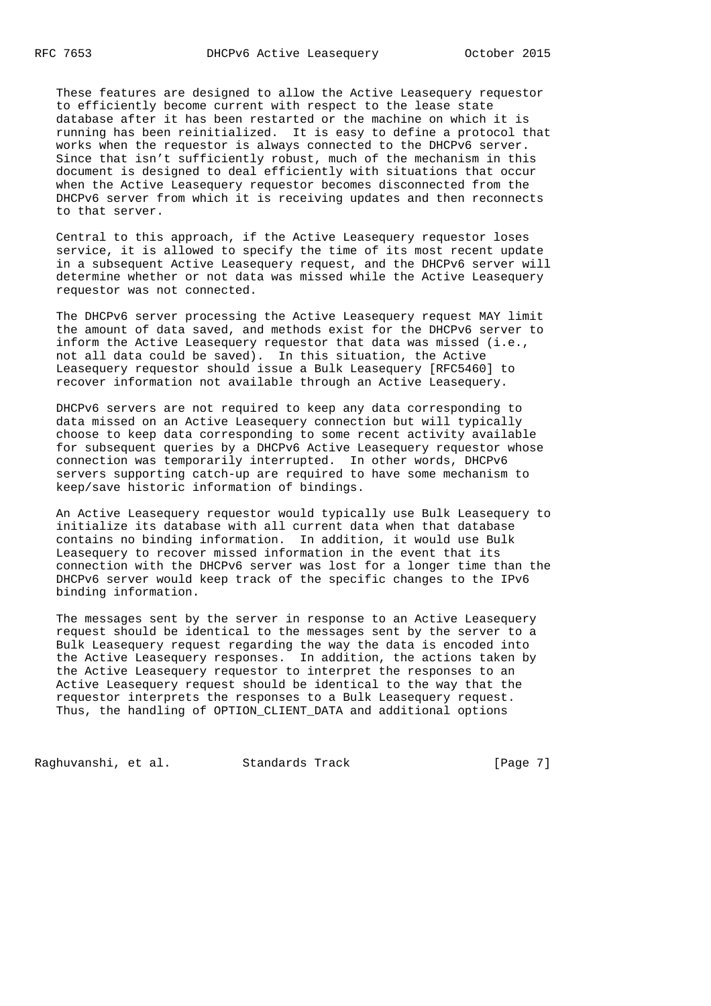These features are designed to allow the Active Leasequery requestor to efficiently become current with respect to the lease state database after it has been restarted or the machine on which it is running has been reinitialized. It is easy to define a protocol that works when the requestor is always connected to the DHCPv6 server. Since that isn't sufficiently robust, much of the mechanism in this document is designed to deal efficiently with situations that occur when the Active Leasequery requestor becomes disconnected from the DHCPv6 server from which it is receiving updates and then reconnects to that server.

 Central to this approach, if the Active Leasequery requestor loses service, it is allowed to specify the time of its most recent update in a subsequent Active Leasequery request, and the DHCPv6 server will determine whether or not data was missed while the Active Leasequery requestor was not connected.

 The DHCPv6 server processing the Active Leasequery request MAY limit the amount of data saved, and methods exist for the DHCPv6 server to inform the Active Leasequery requestor that data was missed (i.e., not all data could be saved). In this situation, the Active Leasequery requestor should issue a Bulk Leasequery [RFC5460] to recover information not available through an Active Leasequery.

 DHCPv6 servers are not required to keep any data corresponding to data missed on an Active Leasequery connection but will typically choose to keep data corresponding to some recent activity available for subsequent queries by a DHCPv6 Active Leasequery requestor whose connection was temporarily interrupted. In other words, DHCPv6 servers supporting catch-up are required to have some mechanism to keep/save historic information of bindings.

 An Active Leasequery requestor would typically use Bulk Leasequery to initialize its database with all current data when that database contains no binding information. In addition, it would use Bulk Leasequery to recover missed information in the event that its connection with the DHCPv6 server was lost for a longer time than the DHCPv6 server would keep track of the specific changes to the IPv6 binding information.

 The messages sent by the server in response to an Active Leasequery request should be identical to the messages sent by the server to a Bulk Leasequery request regarding the way the data is encoded into the Active Leasequery responses. In addition, the actions taken by the Active Leasequery requestor to interpret the responses to an Active Leasequery request should be identical to the way that the requestor interprets the responses to a Bulk Leasequery request. Thus, the handling of OPTION\_CLIENT\_DATA and additional options

Raghuvanshi, et al. Standards Track [Page 7]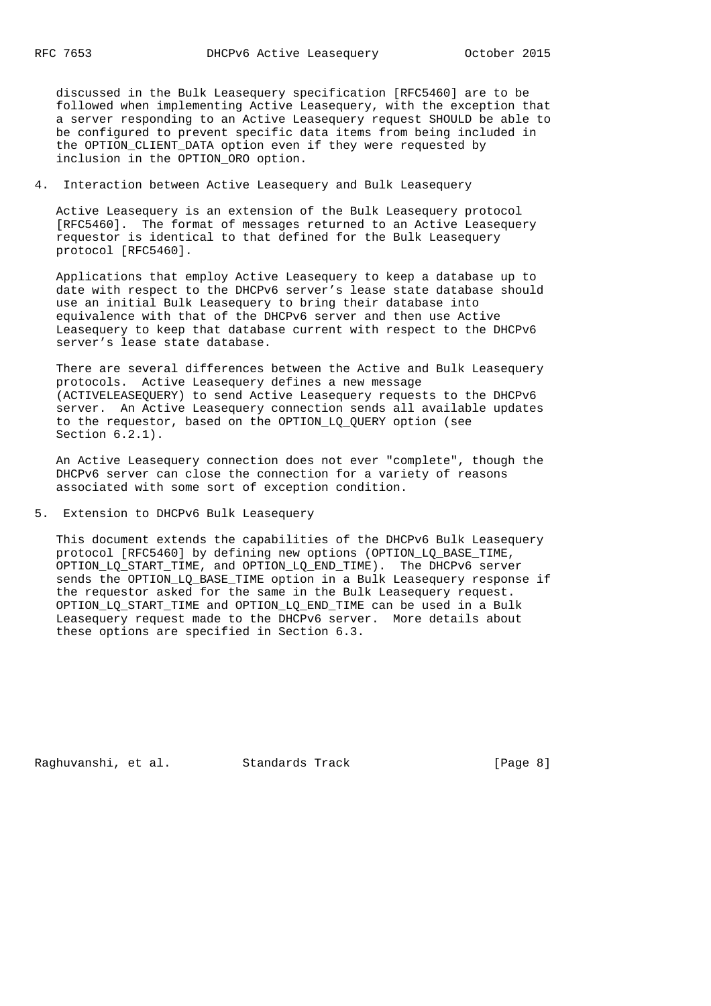discussed in the Bulk Leasequery specification [RFC5460] are to be followed when implementing Active Leasequery, with the exception that a server responding to an Active Leasequery request SHOULD be able to be configured to prevent specific data items from being included in the OPTION\_CLIENT\_DATA option even if they were requested by inclusion in the OPTION\_ORO option.

## 4. Interaction between Active Leasequery and Bulk Leasequery

 Active Leasequery is an extension of the Bulk Leasequery protocol [RFC5460]. The format of messages returned to an Active Leasequery requestor is identical to that defined for the Bulk Leasequery protocol [RFC5460].

 Applications that employ Active Leasequery to keep a database up to date with respect to the DHCPv6 server's lease state database should use an initial Bulk Leasequery to bring their database into equivalence with that of the DHCPv6 server and then use Active Leasequery to keep that database current with respect to the DHCPv6 server's lease state database.

 There are several differences between the Active and Bulk Leasequery protocols. Active Leasequery defines a new message (ACTIVELEASEQUERY) to send Active Leasequery requests to the DHCPv6 server. An Active Leasequery connection sends all available updates to the requestor, based on the OPTION\_LQ\_QUERY option (see Section  $6.2.1$ ).

 An Active Leasequery connection does not ever "complete", though the DHCPv6 server can close the connection for a variety of reasons associated with some sort of exception condition.

## 5. Extension to DHCPv6 Bulk Leasequery

 This document extends the capabilities of the DHCPv6 Bulk Leasequery protocol [RFC5460] by defining new options (OPTION\_LQ\_BASE\_TIME, OPTION\_LQ\_START\_TIME, and OPTION\_LQ\_END\_TIME). The DHCPv6 server sends the OPTION\_LQ\_BASE\_TIME option in a Bulk Leasequery response if the requestor asked for the same in the Bulk Leasequery request. OPTION\_LQ\_START\_TIME and OPTION\_LQ\_END\_TIME can be used in a Bulk Leasequery request made to the DHCPv6 server. More details about these options are specified in Section 6.3.

Raghuvanshi, et al. Standards Track [Page 8]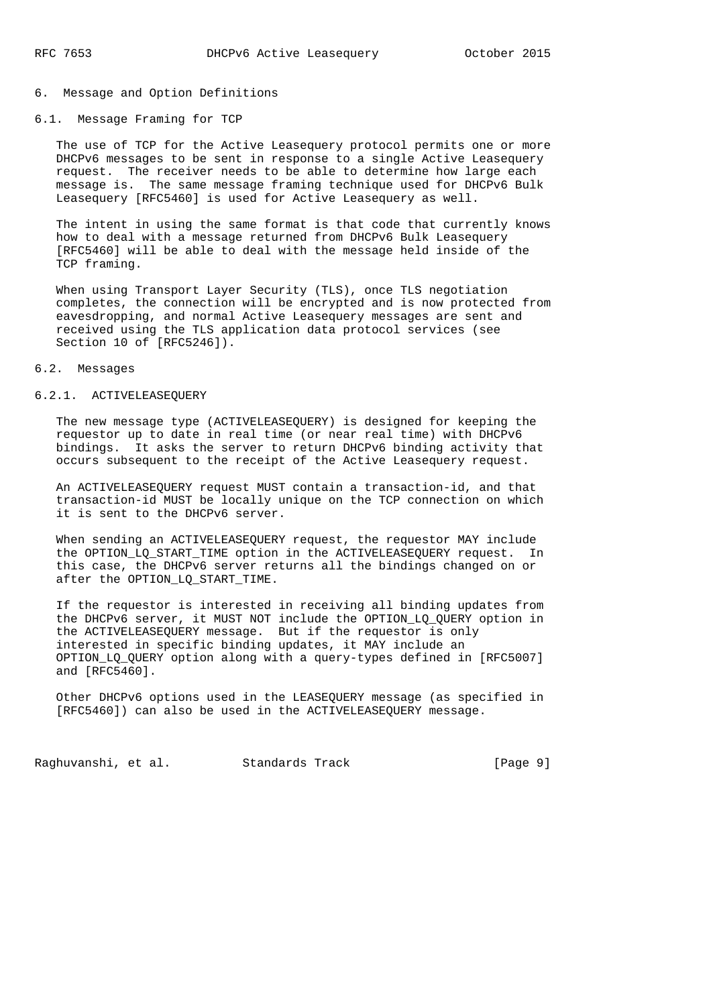#### 6. Message and Option Definitions

### 6.1. Message Framing for TCP

 The use of TCP for the Active Leasequery protocol permits one or more DHCPv6 messages to be sent in response to a single Active Leasequery request. The receiver needs to be able to determine how large each message is. The same message framing technique used for DHCPv6 Bulk Leasequery [RFC5460] is used for Active Leasequery as well.

 The intent in using the same format is that code that currently knows how to deal with a message returned from DHCPv6 Bulk Leasequery [RFC5460] will be able to deal with the message held inside of the TCP framing.

 When using Transport Layer Security (TLS), once TLS negotiation completes, the connection will be encrypted and is now protected from eavesdropping, and normal Active Leasequery messages are sent and received using the TLS application data protocol services (see Section 10 of [RFC5246]).

#### 6.2. Messages

#### 6.2.1. ACTIVELEASEQUERY

 The new message type (ACTIVELEASEQUERY) is designed for keeping the requestor up to date in real time (or near real time) with DHCPv6 bindings. It asks the server to return DHCPv6 binding activity that occurs subsequent to the receipt of the Active Leasequery request.

 An ACTIVELEASEQUERY request MUST contain a transaction-id, and that transaction-id MUST be locally unique on the TCP connection on which it is sent to the DHCPv6 server.

 When sending an ACTIVELEASEQUERY request, the requestor MAY include the OPTION LQ START TIME option in the ACTIVELEASEQUERY request. In this case, the DHCPv6 server returns all the bindings changed on or after the OPTION\_LQ\_START\_TIME.

 If the requestor is interested in receiving all binding updates from the DHCPv6 server, it MUST NOT include the OPTION\_LQ\_QUERY option in the ACTIVELEASEQUERY message. But if the requestor is only interested in specific binding updates, it MAY include an OPTION\_LQ\_QUERY option along with a query-types defined in [RFC5007] and [RFC5460].

 Other DHCPv6 options used in the LEASEQUERY message (as specified in [RFC5460]) can also be used in the ACTIVELEASEQUERY message.

Raghuvanshi, et al. Standards Track [Page 9]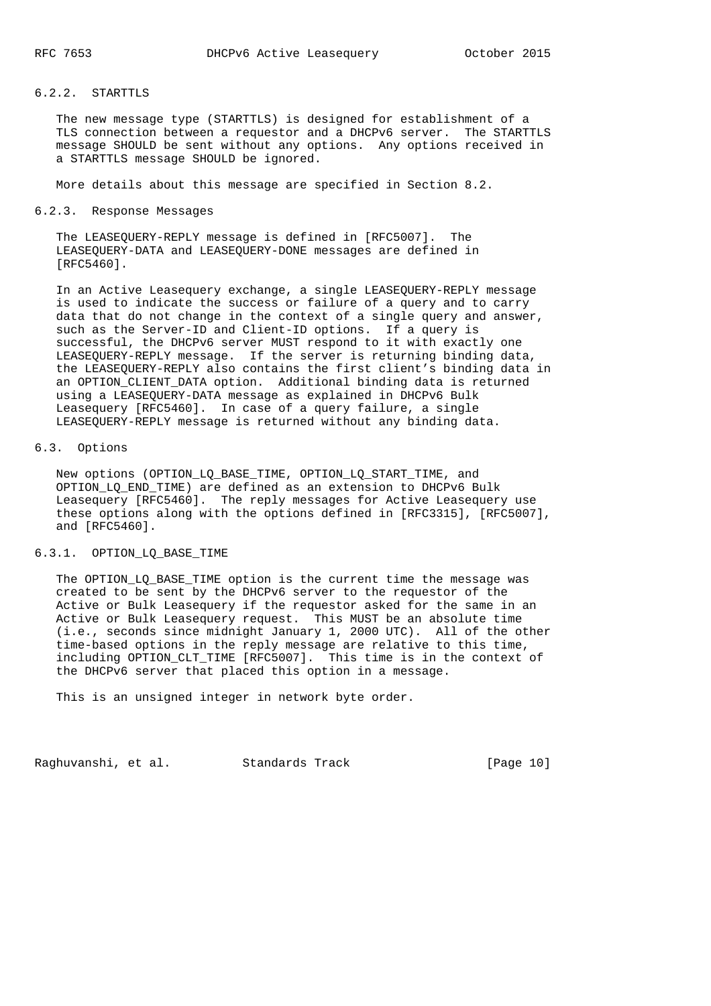## 6.2.2. STARTTLS

 The new message type (STARTTLS) is designed for establishment of a TLS connection between a requestor and a DHCPv6 server. The STARTTLS message SHOULD be sent without any options. Any options received in a STARTTLS message SHOULD be ignored.

More details about this message are specified in Section 8.2.

#### 6.2.3. Response Messages

 The LEASEQUERY-REPLY message is defined in [RFC5007]. The LEASEQUERY-DATA and LEASEQUERY-DONE messages are defined in [RFC5460].

 In an Active Leasequery exchange, a single LEASEQUERY-REPLY message is used to indicate the success or failure of a query and to carry data that do not change in the context of a single query and answer, such as the Server-ID and Client-ID options. If a query is successful, the DHCPv6 server MUST respond to it with exactly one LEASEQUERY-REPLY message. If the server is returning binding data, the LEASEQUERY-REPLY also contains the first client's binding data in an OPTION\_CLIENT\_DATA option. Additional binding data is returned using a LEASEQUERY-DATA message as explained in DHCPv6 Bulk Leasequery [RFC5460]. In case of a query failure, a single LEASEQUERY-REPLY message is returned without any binding data.

## 6.3. Options

New options (OPTION LQ BASE TIME, OPTION LQ START TIME, and OPTION\_LQ\_END\_TIME) are defined as an extension to DHCPv6 Bulk Leasequery [RFC5460]. The reply messages for Active Leasequery use these options along with the options defined in [RFC3315], [RFC5007], and [RFC5460].

## 6.3.1. OPTION\_LQ\_BASE\_TIME

 The OPTION\_LQ\_BASE\_TIME option is the current time the message was created to be sent by the DHCPv6 server to the requestor of the Active or Bulk Leasequery if the requestor asked for the same in an Active or Bulk Leasequery request. This MUST be an absolute time (i.e., seconds since midnight January 1, 2000 UTC). All of the other time-based options in the reply message are relative to this time, including OPTION\_CLT\_TIME [RFC5007]. This time is in the context of the DHCPv6 server that placed this option in a message.

This is an unsigned integer in network byte order.

Raghuvanshi, et al. Standards Track [Page 10]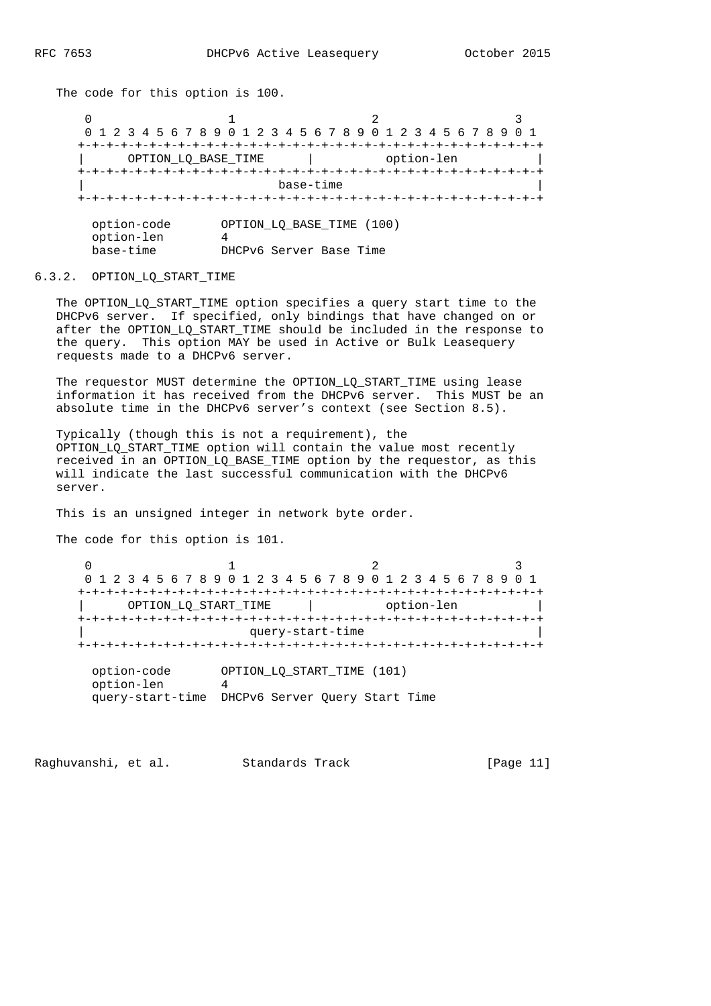The code for this option is 100.

 $0$  1 2 3 0 1 2 3 4 5 6 7 8 9 0 1 2 3 4 5 6 7 8 9 0 1 2 3 4 5 6 7 8 9 0 1 +-+-+-+-+-+-+-+-+-+-+-+-+-+-+-+-+-+-+-+-+-+-+-+-+-+-+-+-+-+-+-+-+ | OPTION\_LQ\_BASE\_TIME | option-len | +-+-+-+-+-+-+-+-+-+-+-+-+-+-+-+-+-+-+-+-+-+-+-+-+-+-+-+-+-+-+-+-+ base-time +-+-+-+-+-+-+-+-+-+-+-+-+-+-+-+-+-+-+-+-+-+-+-+-+-+-+-+-+-+-+-+-+ option-code OPTION\_LQ\_BASE\_TIME (100) option-len 4 base-time DHCPv6 Server Base Time

#### 6.3.2. OPTION\_LQ\_START\_TIME

 The OPTION\_LQ\_START\_TIME option specifies a query start time to the DHCPv6 server. If specified, only bindings that have changed on or after the OPTION\_LQ\_START\_TIME should be included in the response to the query. This option MAY be used in Active or Bulk Leasequery requests made to a DHCPv6 server.

The requestor MUST determine the OPTION LO START TIME using lease information it has received from the DHCPv6 server. This MUST be an absolute time in the DHCPv6 server's context (see Section 8.5).

 Typically (though this is not a requirement), the OPTION\_LQ\_START\_TIME option will contain the value most recently received in an OPTION\_LQ\_BASE\_TIME option by the requestor, as this will indicate the last successful communication with the DHCPv6 server.

This is an unsigned integer in network byte order.

The code for this option is 101.

 $0$  1 2 3 0 1 2 3 4 5 6 7 8 9 0 1 2 3 4 5 6 7 8 9 0 1 2 3 4 5 6 7 8 9 0 1 +-+-+-+-+-+-+-+-+-+-+-+-+-+-+-+-+-+-+-+-+-+-+-+-+-+-+-+-+-+-+-+-+ | OPTION\_LQ\_START\_TIME | option-len | +-+-+-+-+-+-+-+-+-+-+-+-+-+-+-+-+-+-+-+-+-+-+-+-+-+-+-+-+-+-+-+-+ query-start-time +-+-+-+-+-+-+-+-+-+-+-+-+-+-+-+-+-+-+-+-+-+-+-+-+-+-+-+-+-+-+-+-+ option-code OPTION\_LQ\_START\_TIME (101) option-len 4 query-start-time DHCPv6 Server Query Start Time

Raghuvanshi, et al. Standards Track [Page 11]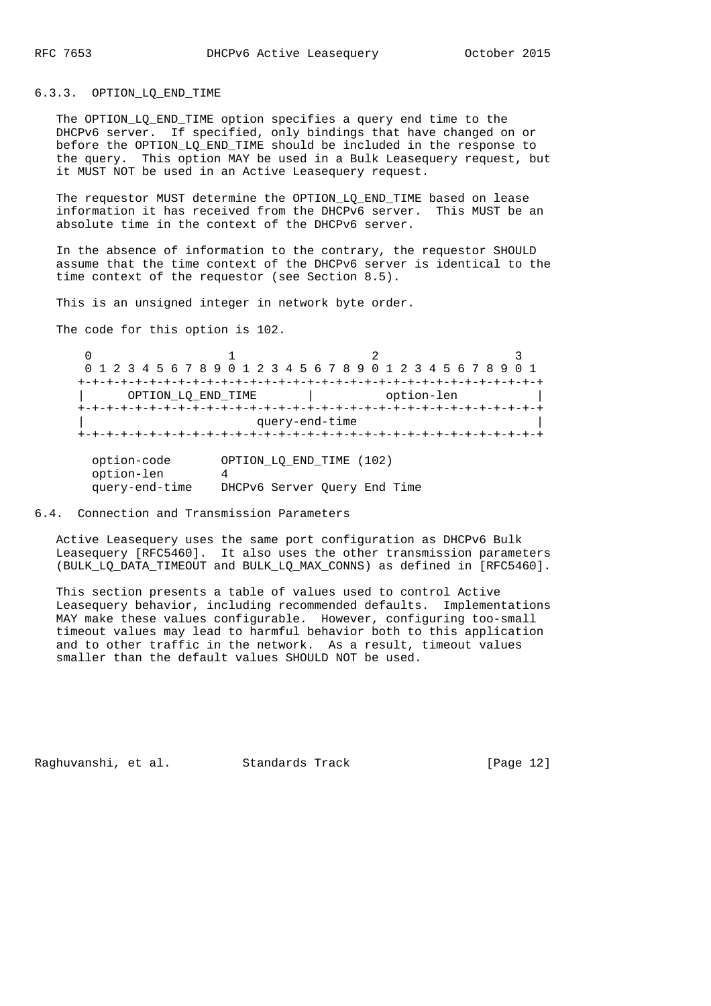## 6.3.3. OPTION\_LQ\_END\_TIME

The OPTION LQ END TIME option specifies a query end time to the DHCPv6 server. If specified, only bindings that have changed on or before the OPTION\_LQ\_END\_TIME should be included in the response to the query. This option MAY be used in a Bulk Leasequery request, but it MUST NOT be used in an Active Leasequery request.

The requestor MUST determine the OPTION LO END TIME based on lease information it has received from the DHCPv6 server. This MUST be an absolute time in the context of the DHCPv6 server.

 In the absence of information to the contrary, the requestor SHOULD assume that the time context of the DHCPv6 server is identical to the time context of the requestor (see Section 8.5).

This is an unsigned integer in network byte order.

The code for this option is 102.

 $0$  1 2 3 0 1 2 3 4 5 6 7 8 9 0 1 2 3 4 5 6 7 8 9 0 1 2 3 4 5 6 7 8 9 0 1 +-+-+-+-+-+-+-+-+-+-+-+-+-+-+-+-+-+-+-+-+-+-+-+-+-+-+-+-+-+-+-+-+ | OPTION\_LQ\_END\_TIME | option-len | +-+-+-+-+-+-+-+-+-+-+-+-+-+-+-+-+-+-+-+-+-+-+-+-+-+-+-+-+-+-+-+-+ query-end-time +-+-+-+-+-+-+-+-+-+-+-+-+-+-+-+-+-+-+-+-+-+-+-+-+-+-+-+-+-+-+-+-+ option-code OPTION\_LQ\_END\_TIME (102) option-len 4 query-end-time DHCPv6 Server Query End Time

## 6.4. Connection and Transmission Parameters

 Active Leasequery uses the same port configuration as DHCPv6 Bulk Leasequery [RFC5460]. It also uses the other transmission parameters (BULK\_LQ\_DATA\_TIMEOUT and BULK\_LQ\_MAX\_CONNS) as defined in [RFC5460].

 This section presents a table of values used to control Active Leasequery behavior, including recommended defaults. Implementations MAY make these values configurable. However, configuring too-small timeout values may lead to harmful behavior both to this application and to other traffic in the network. As a result, timeout values smaller than the default values SHOULD NOT be used.

Raghuvanshi, et al. Standards Track [Page 12]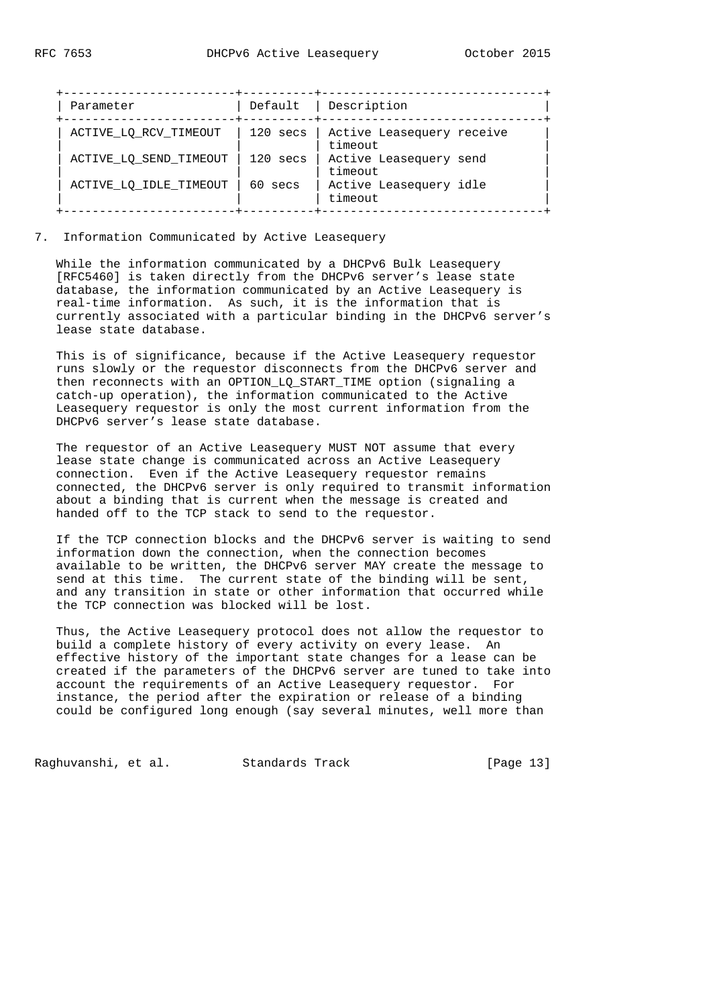| Parameter              | Default    | Description                          |
|------------------------|------------|--------------------------------------|
| ACTIVE_LQ_RCV_TIMEOUT  | 120 secs   | Active Leasequery receive<br>timeout |
| ACTIVE LO SEND TIMEOUT | $120$ secs | Active Leasequery send<br>timeout    |
| ACTIVE LO IDLE TIMEOUT | 60 secs    | Active Leasequery idle<br>timeout    |

## 7. Information Communicated by Active Leasequery

 While the information communicated by a DHCPv6 Bulk Leasequery [RFC5460] is taken directly from the DHCPv6 server's lease state database, the information communicated by an Active Leasequery is real-time information. As such, it is the information that is currently associated with a particular binding in the DHCPv6 server's lease state database.

 This is of significance, because if the Active Leasequery requestor runs slowly or the requestor disconnects from the DHCPv6 server and then reconnects with an OPTION\_LQ\_START\_TIME option (signaling a catch-up operation), the information communicated to the Active Leasequery requestor is only the most current information from the DHCPv6 server's lease state database.

 The requestor of an Active Leasequery MUST NOT assume that every lease state change is communicated across an Active Leasequery connection. Even if the Active Leasequery requestor remains connected, the DHCPv6 server is only required to transmit information about a binding that is current when the message is created and handed off to the TCP stack to send to the requestor.

 If the TCP connection blocks and the DHCPv6 server is waiting to send information down the connection, when the connection becomes available to be written, the DHCPv6 server MAY create the message to send at this time. The current state of the binding will be sent, and any transition in state or other information that occurred while the TCP connection was blocked will be lost.

 Thus, the Active Leasequery protocol does not allow the requestor to build a complete history of every activity on every lease. An effective history of the important state changes for a lease can be created if the parameters of the DHCPv6 server are tuned to take into account the requirements of an Active Leasequery requestor. For instance, the period after the expiration or release of a binding could be configured long enough (say several minutes, well more than

Raghuvanshi, et al. Standards Track [Page 13]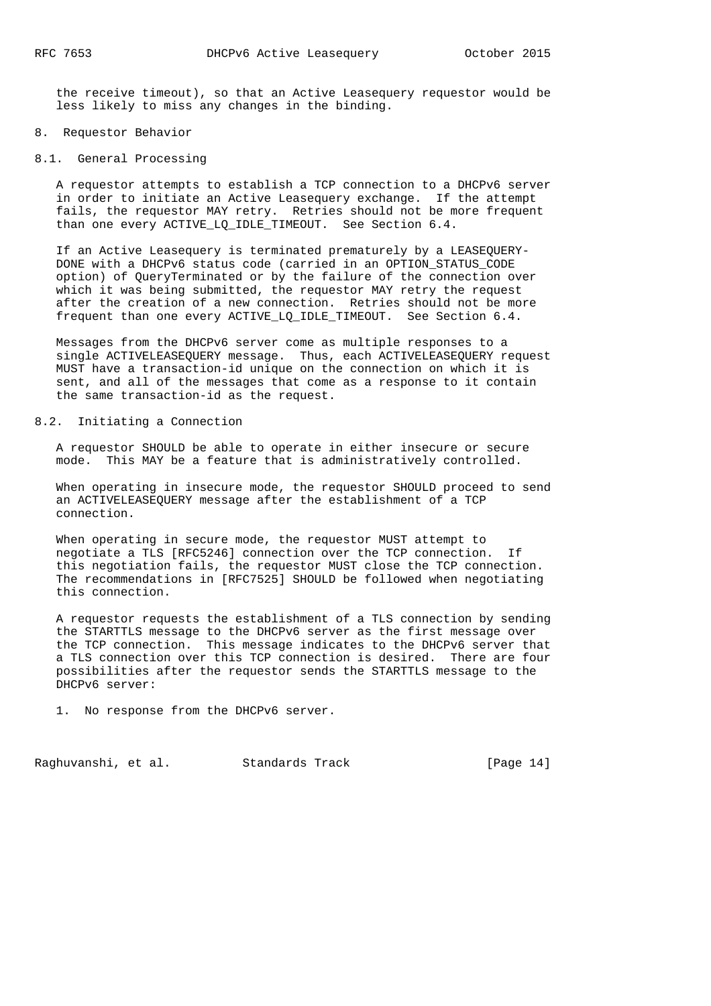the receive timeout), so that an Active Leasequery requestor would be less likely to miss any changes in the binding.

#### 8. Requestor Behavior

#### 8.1. General Processing

 A requestor attempts to establish a TCP connection to a DHCPv6 server in order to initiate an Active Leasequery exchange. If the attempt fails, the requestor MAY retry. Retries should not be more frequent than one every ACTIVE\_LQ\_IDLE\_TIMEOUT. See Section 6.4.

 If an Active Leasequery is terminated prematurely by a LEASEQUERY- DONE with a DHCPv6 status code (carried in an OPTION\_STATUS\_CODE option) of QueryTerminated or by the failure of the connection over which it was being submitted, the requestor MAY retry the request after the creation of a new connection. Retries should not be more frequent than one every ACTIVE\_LQ\_IDLE\_TIMEOUT. See Section 6.4.

 Messages from the DHCPv6 server come as multiple responses to a single ACTIVELEASEQUERY message. Thus, each ACTIVELEASEQUERY request MUST have a transaction-id unique on the connection on which it is sent, and all of the messages that come as a response to it contain the same transaction-id as the request.

## 8.2. Initiating a Connection

 A requestor SHOULD be able to operate in either insecure or secure mode. This MAY be a feature that is administratively controlled.

 When operating in insecure mode, the requestor SHOULD proceed to send an ACTIVELEASEQUERY message after the establishment of a TCP connection.

 When operating in secure mode, the requestor MUST attempt to negotiate a TLS [RFC5246] connection over the TCP connection. If this negotiation fails, the requestor MUST close the TCP connection. The recommendations in [RFC7525] SHOULD be followed when negotiating this connection.

 A requestor requests the establishment of a TLS connection by sending the STARTTLS message to the DHCPv6 server as the first message over the TCP connection. This message indicates to the DHCPv6 server that a TLS connection over this TCP connection is desired. There are four possibilities after the requestor sends the STARTTLS message to the DHCPv6 server:

1. No response from the DHCPv6 server.

Raghuvanshi, et al. Standards Track [Page 14]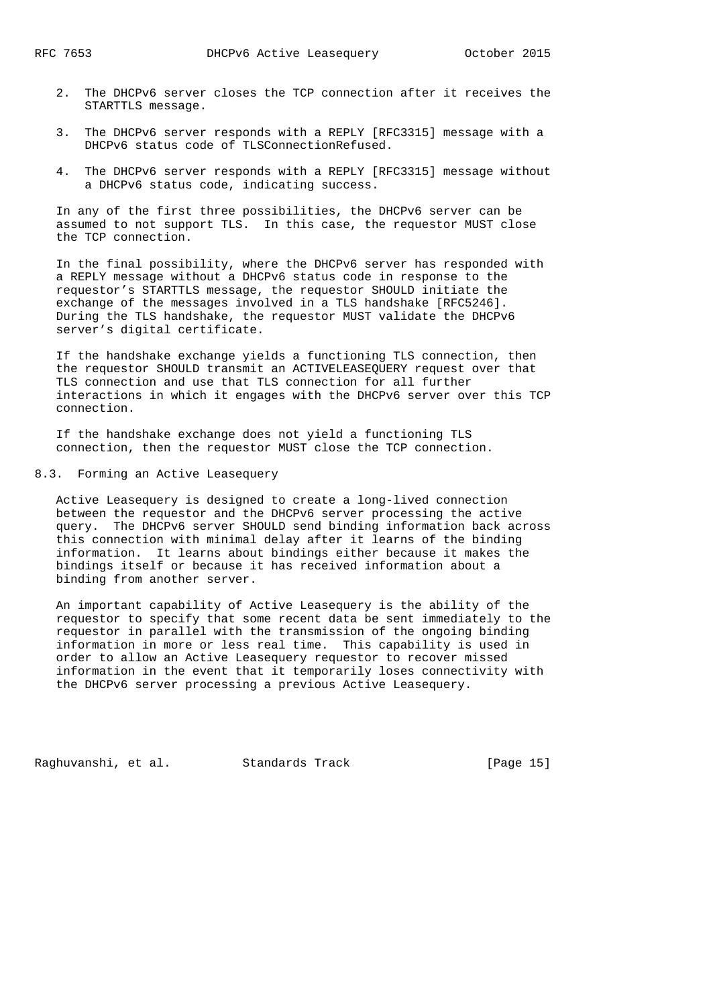- 2. The DHCPv6 server closes the TCP connection after it receives the STARTTLS message.
- 3. The DHCPv6 server responds with a REPLY [RFC3315] message with a DHCPv6 status code of TLSConnectionRefused.
- 4. The DHCPv6 server responds with a REPLY [RFC3315] message without a DHCPv6 status code, indicating success.

 In any of the first three possibilities, the DHCPv6 server can be assumed to not support TLS. In this case, the requestor MUST close the TCP connection.

 In the final possibility, where the DHCPv6 server has responded with a REPLY message without a DHCPv6 status code in response to the requestor's STARTTLS message, the requestor SHOULD initiate the exchange of the messages involved in a TLS handshake [RFC5246]. During the TLS handshake, the requestor MUST validate the DHCPv6 server's digital certificate.

 If the handshake exchange yields a functioning TLS connection, then the requestor SHOULD transmit an ACTIVELEASEQUERY request over that TLS connection and use that TLS connection for all further interactions in which it engages with the DHCPv6 server over this TCP connection.

 If the handshake exchange does not yield a functioning TLS connection, then the requestor MUST close the TCP connection.

## 8.3. Forming an Active Leasequery

 Active Leasequery is designed to create a long-lived connection between the requestor and the DHCPv6 server processing the active query. The DHCPv6 server SHOULD send binding information back across this connection with minimal delay after it learns of the binding information. It learns about bindings either because it makes the bindings itself or because it has received information about a binding from another server.

 An important capability of Active Leasequery is the ability of the requestor to specify that some recent data be sent immediately to the requestor in parallel with the transmission of the ongoing binding information in more or less real time. This capability is used in order to allow an Active Leasequery requestor to recover missed information in the event that it temporarily loses connectivity with the DHCPv6 server processing a previous Active Leasequery.

Raghuvanshi, et al. Standards Track [Page 15]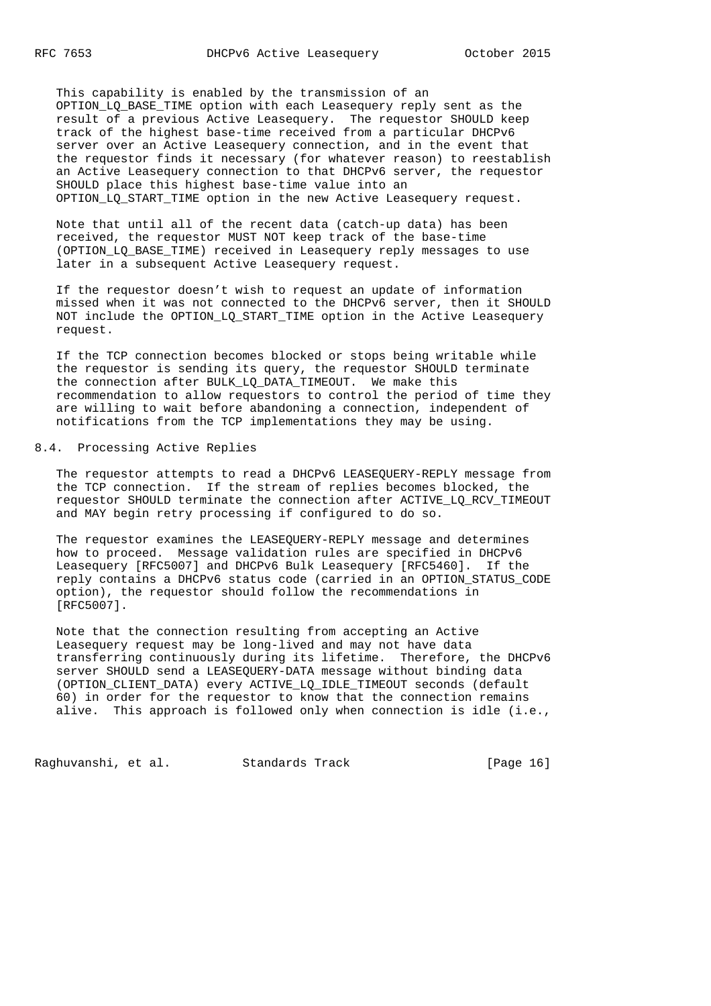This capability is enabled by the transmission of an OPTION\_LQ\_BASE\_TIME option with each Leasequery reply sent as the result of a previous Active Leasequery. The requestor SHOULD keep track of the highest base-time received from a particular DHCPv6 server over an Active Leasequery connection, and in the event that the requestor finds it necessary (for whatever reason) to reestablish an Active Leasequery connection to that DHCPv6 server, the requestor SHOULD place this highest base-time value into an OPTION LQ START TIME option in the new Active Leasequery request.

 Note that until all of the recent data (catch-up data) has been received, the requestor MUST NOT keep track of the base-time (OPTION\_LQ\_BASE\_TIME) received in Leasequery reply messages to use later in a subsequent Active Leasequery request.

 If the requestor doesn't wish to request an update of information missed when it was not connected to the DHCPv6 server, then it SHOULD NOT include the OPTION LQ START TIME option in the Active Leasequery request.

 If the TCP connection becomes blocked or stops being writable while the requestor is sending its query, the requestor SHOULD terminate the connection after BULK\_LQ\_DATA\_TIMEOUT. We make this recommendation to allow requestors to control the period of time they are willing to wait before abandoning a connection, independent of notifications from the TCP implementations they may be using.

## 8.4. Processing Active Replies

 The requestor attempts to read a DHCPv6 LEASEQUERY-REPLY message from the TCP connection. If the stream of replies becomes blocked, the requestor SHOULD terminate the connection after ACTIVE\_LQ\_RCV\_TIMEOUT and MAY begin retry processing if configured to do so.

 The requestor examines the LEASEQUERY-REPLY message and determines how to proceed. Message validation rules are specified in DHCPv6 Leasequery [RFC5007] and DHCPv6 Bulk Leasequery [RFC5460]. If the reply contains a DHCPv6 status code (carried in an OPTION\_STATUS\_CODE option), the requestor should follow the recommendations in [RFC5007].

 Note that the connection resulting from accepting an Active Leasequery request may be long-lived and may not have data transferring continuously during its lifetime. Therefore, the DHCPv6 server SHOULD send a LEASEQUERY-DATA message without binding data (OPTION\_CLIENT\_DATA) every ACTIVE\_LQ\_IDLE\_TIMEOUT seconds (default 60) in order for the requestor to know that the connection remains alive. This approach is followed only when connection is idle (i.e.,

Raghuvanshi, et al. Standards Track [Page 16]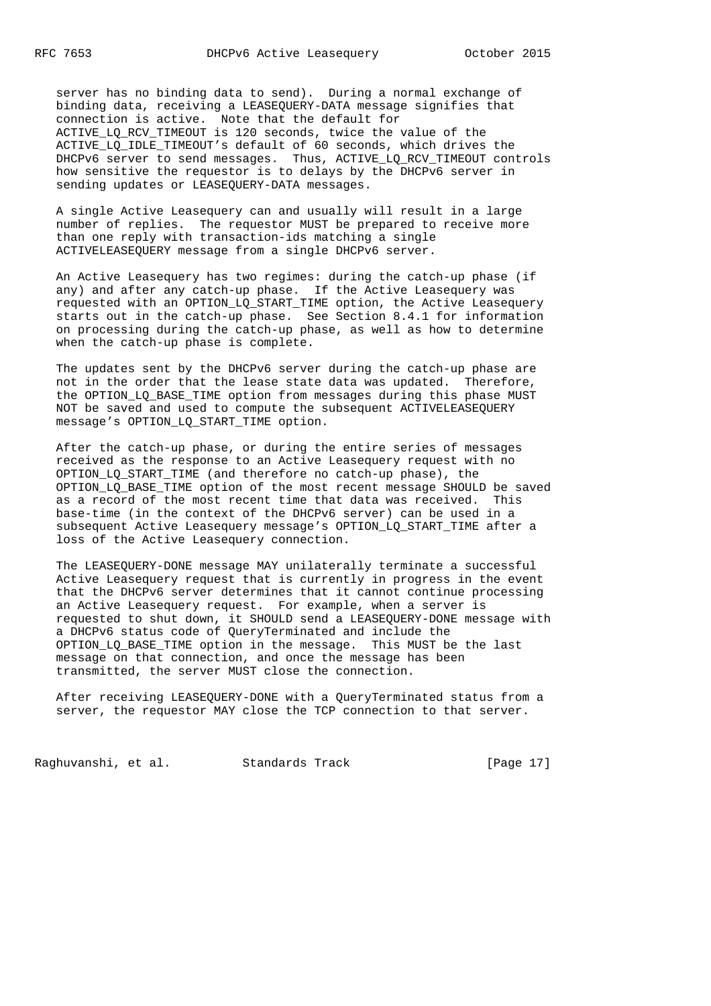server has no binding data to send). During a normal exchange of binding data, receiving a LEASEQUERY-DATA message signifies that connection is active. Note that the default for ACTIVE\_LQ\_RCV\_TIMEOUT is 120 seconds, twice the value of the ACTIVE\_LQ\_IDLE\_TIMEOUT's default of 60 seconds, which drives the DHCPv6 server to send messages. Thus, ACTIVE LQ RCV TIMEOUT controls how sensitive the requestor is to delays by the DHCPv6 server in sending updates or LEASEQUERY-DATA messages.

 A single Active Leasequery can and usually will result in a large number of replies. The requestor MUST be prepared to receive more than one reply with transaction-ids matching a single ACTIVELEASEQUERY message from a single DHCPv6 server.

 An Active Leasequery has two regimes: during the catch-up phase (if any) and after any catch-up phase. If the Active Leasequery was requested with an OPTION\_LQ\_START\_TIME option, the Active Leasequery starts out in the catch-up phase. See Section 8.4.1 for information on processing during the catch-up phase, as well as how to determine when the catch-up phase is complete.

 The updates sent by the DHCPv6 server during the catch-up phase are not in the order that the lease state data was updated. Therefore, the OPTION LQ BASE TIME option from messages during this phase MUST NOT be saved and used to compute the subsequent ACTIVELEASEQUERY message's OPTION\_LQ\_START\_TIME option.

 After the catch-up phase, or during the entire series of messages received as the response to an Active Leasequery request with no OPTION\_LQ\_START\_TIME (and therefore no catch-up phase), the OPTION\_LQ\_BASE\_TIME option of the most recent message SHOULD be saved as a record of the most recent time that data was received. This base-time (in the context of the DHCPv6 server) can be used in a subsequent Active Leasequery message's OPTION\_LQ\_START\_TIME after a loss of the Active Leasequery connection.

 The LEASEQUERY-DONE message MAY unilaterally terminate a successful Active Leasequery request that is currently in progress in the event that the DHCPv6 server determines that it cannot continue processing an Active Leasequery request. For example, when a server is requested to shut down, it SHOULD send a LEASEQUERY-DONE message with a DHCPv6 status code of QueryTerminated and include the OPTION\_LQ\_BASE\_TIME option in the message. This MUST be the last message on that connection, and once the message has been transmitted, the server MUST close the connection.

 After receiving LEASEQUERY-DONE with a QueryTerminated status from a server, the requestor MAY close the TCP connection to that server.

Raghuvanshi, et al. Standards Track [Page 17]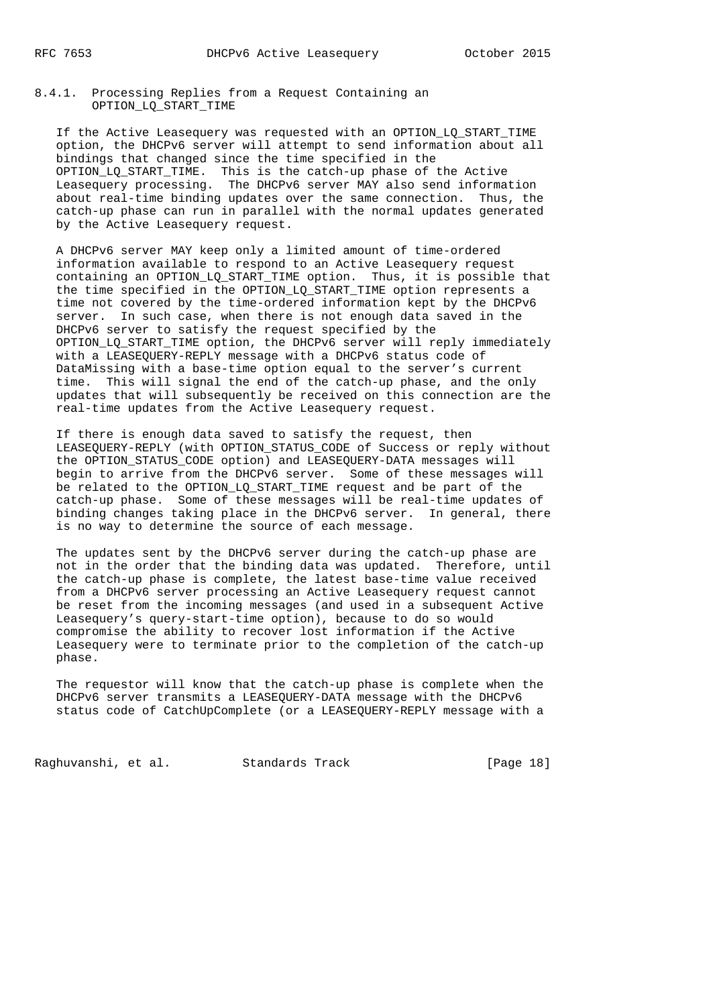8.4.1. Processing Replies from a Request Containing an OPTION\_LQ\_START\_TIME

 If the Active Leasequery was requested with an OPTION\_LQ\_START\_TIME option, the DHCPv6 server will attempt to send information about all bindings that changed since the time specified in the OPTION\_LQ\_START\_TIME. This is the catch-up phase of the Active Leasequery processing. The DHCPv6 server MAY also send information about real-time binding updates over the same connection. Thus, the catch-up phase can run in parallel with the normal updates generated by the Active Leasequery request.

 A DHCPv6 server MAY keep only a limited amount of time-ordered information available to respond to an Active Leasequery request containing an OPTION\_LQ\_START\_TIME option. Thus, it is possible that the time specified in the OPTION\_LQ\_START\_TIME option represents a time not covered by the time-ordered information kept by the DHCPv6 server. In such case, when there is not enough data saved in the DHCPv6 server to satisfy the request specified by the OPTION\_LQ\_START\_TIME option, the DHCPv6 server will reply immediately with a LEASEQUERY-REPLY message with a DHCPv6 status code of DataMissing with a base-time option equal to the server's current time. This will signal the end of the catch-up phase, and the only updates that will subsequently be received on this connection are the real-time updates from the Active Leasequery request.

 If there is enough data saved to satisfy the request, then LEASEQUERY-REPLY (with OPTION\_STATUS\_CODE of Success or reply without the OPTION\_STATUS\_CODE option) and LEASEQUERY-DATA messages will begin to arrive from the DHCPv6 server. Some of these messages will be related to the OPTION\_LQ\_START\_TIME request and be part of the catch-up phase. Some of these messages will be real-time updates of binding changes taking place in the DHCPv6 server. In general, there is no way to determine the source of each message.

 The updates sent by the DHCPv6 server during the catch-up phase are not in the order that the binding data was updated. Therefore, until the catch-up phase is complete, the latest base-time value received from a DHCPv6 server processing an Active Leasequery request cannot be reset from the incoming messages (and used in a subsequent Active Leasequery's query-start-time option), because to do so would compromise the ability to recover lost information if the Active Leasequery were to terminate prior to the completion of the catch-up phase.

 The requestor will know that the catch-up phase is complete when the DHCPv6 server transmits a LEASEQUERY-DATA message with the DHCPv6 status code of CatchUpComplete (or a LEASEQUERY-REPLY message with a

Raghuvanshi, et al. Standards Track [Page 18]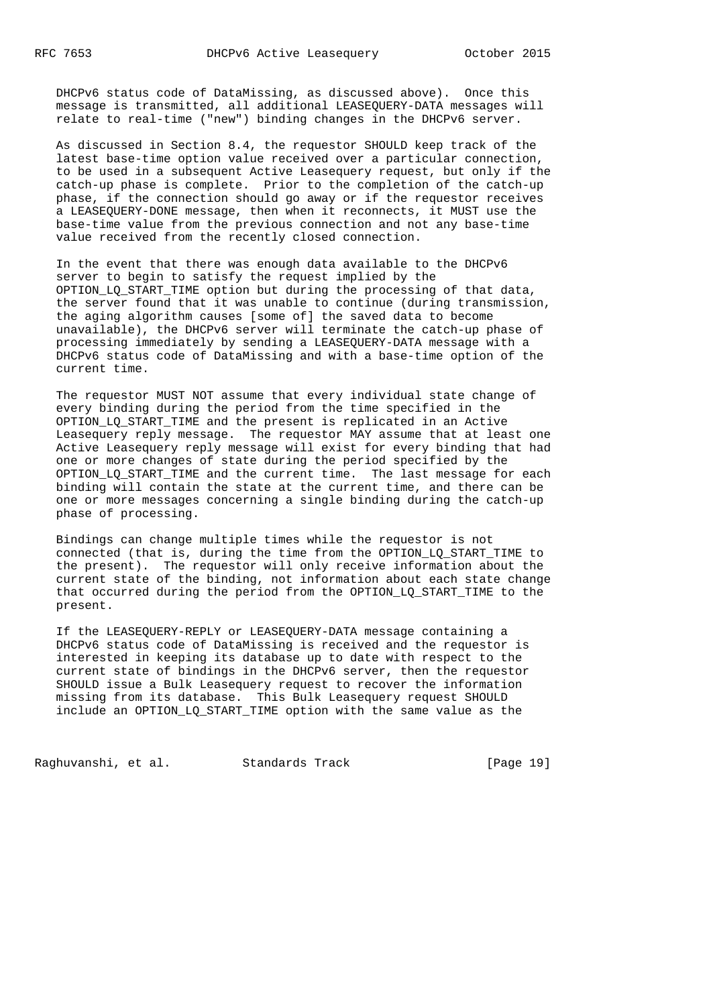DHCPv6 status code of DataMissing, as discussed above). Once this message is transmitted, all additional LEASEQUERY-DATA messages will relate to real-time ("new") binding changes in the DHCPv6 server.

 As discussed in Section 8.4, the requestor SHOULD keep track of the latest base-time option value received over a particular connection, to be used in a subsequent Active Leasequery request, but only if the catch-up phase is complete. Prior to the completion of the catch-up phase, if the connection should go away or if the requestor receives a LEASEQUERY-DONE message, then when it reconnects, it MUST use the base-time value from the previous connection and not any base-time value received from the recently closed connection.

 In the event that there was enough data available to the DHCPv6 server to begin to satisfy the request implied by the OPTION\_LQ\_START\_TIME option but during the processing of that data, the server found that it was unable to continue (during transmission, the aging algorithm causes [some of] the saved data to become unavailable), the DHCPv6 server will terminate the catch-up phase of processing immediately by sending a LEASEQUERY-DATA message with a DHCPv6 status code of DataMissing and with a base-time option of the current time.

 The requestor MUST NOT assume that every individual state change of every binding during the period from the time specified in the OPTION\_LQ\_START\_TIME and the present is replicated in an Active Leasequery  $reply$  message. The requestor MAY assume that at least one Active Leasequery reply message will exist for every binding that had one or more changes of state during the period specified by the OPTION LQ START TIME and the current time. The last message for each binding will contain the state at the current time, and there can be one or more messages concerning a single binding during the catch-up phase of processing.

 Bindings can change multiple times while the requestor is not connected (that is, during the time from the OPTION\_LQ\_START\_TIME to the present). The requestor will only receive information about the current state of the binding, not information about each state change that occurred during the period from the OPTION\_LQ\_START\_TIME to the present.

 If the LEASEQUERY-REPLY or LEASEQUERY-DATA message containing a DHCPv6 status code of DataMissing is received and the requestor is interested in keeping its database up to date with respect to the current state of bindings in the DHCPv6 server, then the requestor SHOULD issue a Bulk Leasequery request to recover the information missing from its database. This Bulk Leasequery request SHOULD include an OPTION\_LQ\_START\_TIME option with the same value as the

Raghuvanshi, et al. Standards Track [Page 19]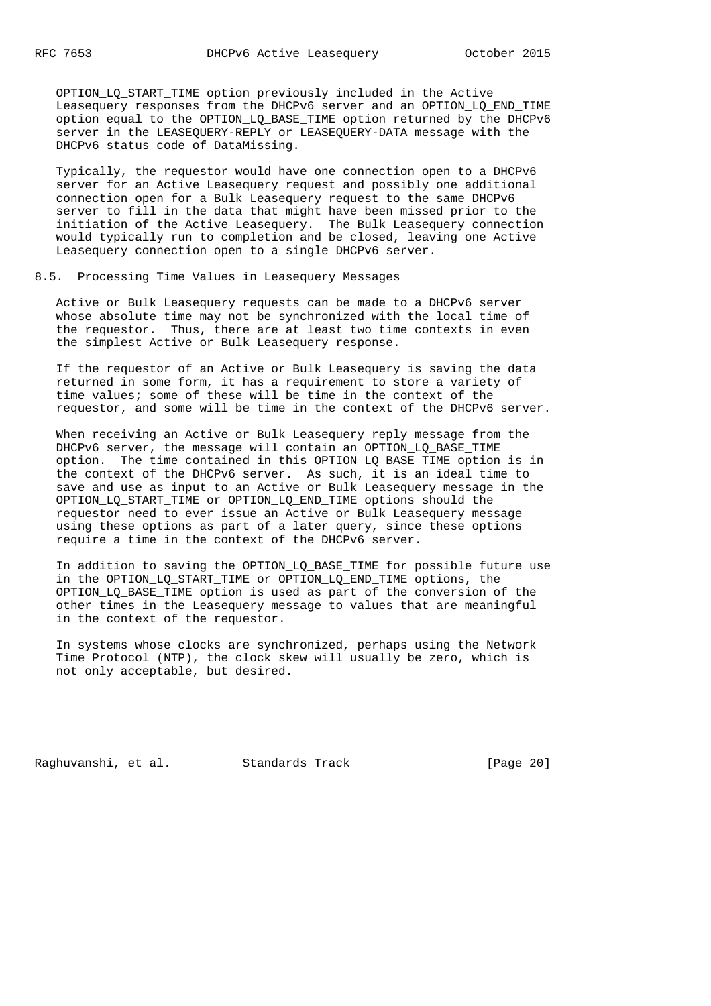OPTION\_LQ\_START\_TIME option previously included in the Active Leasequery responses from the DHCPv6 server and an OPTION\_LQ\_END\_TIME option equal to the OPTION\_LQ\_BASE\_TIME option returned by the DHCPv6 server in the LEASEQUERY-REPLY or LEASEQUERY-DATA message with the DHCPv6 status code of DataMissing.

 Typically, the requestor would have one connection open to a DHCPv6 server for an Active Leasequery request and possibly one additional connection open for a Bulk Leasequery request to the same DHCPv6 server to fill in the data that might have been missed prior to the initiation of the Active Leasequery. The Bulk Leasequery connection would typically run to completion and be closed, leaving one Active Leasequery connection open to a single DHCPv6 server.

## 8.5. Processing Time Values in Leasequery Messages

 Active or Bulk Leasequery requests can be made to a DHCPv6 server whose absolute time may not be synchronized with the local time of the requestor. Thus, there are at least two time contexts in even the simplest Active or Bulk Leasequery response.

 If the requestor of an Active or Bulk Leasequery is saving the data returned in some form, it has a requirement to store a variety of time values; some of these will be time in the context of the requestor, and some will be time in the context of the DHCPv6 server.

 When receiving an Active or Bulk Leasequery reply message from the DHCPv6 server, the message will contain an OPTION\_LQ\_BASE\_TIME option. The time contained in this OPTION\_LQ\_BASE\_TIME option is in the context of the DHCPv6 server. As such, it is an ideal time to save and use as input to an Active or Bulk Leasequery message in the OPTION\_LQ\_START\_TIME or OPTION\_LQ\_END\_TIME options should the requestor need to ever issue an Active or Bulk Leasequery message using these options as part of a later query, since these options require a time in the context of the DHCPv6 server.

 In addition to saving the OPTION\_LQ\_BASE\_TIME for possible future use in the OPTION\_LQ\_START\_TIME or OPTION\_LQ\_END\_TIME options, the OPTION\_LQ\_BASE\_TIME option is used as part of the conversion of the other times in the Leasequery message to values that are meaningful in the context of the requestor.

 In systems whose clocks are synchronized, perhaps using the Network Time Protocol (NTP), the clock skew will usually be zero, which is not only acceptable, but desired.

Raghuvanshi, et al. Standards Track [Page 20]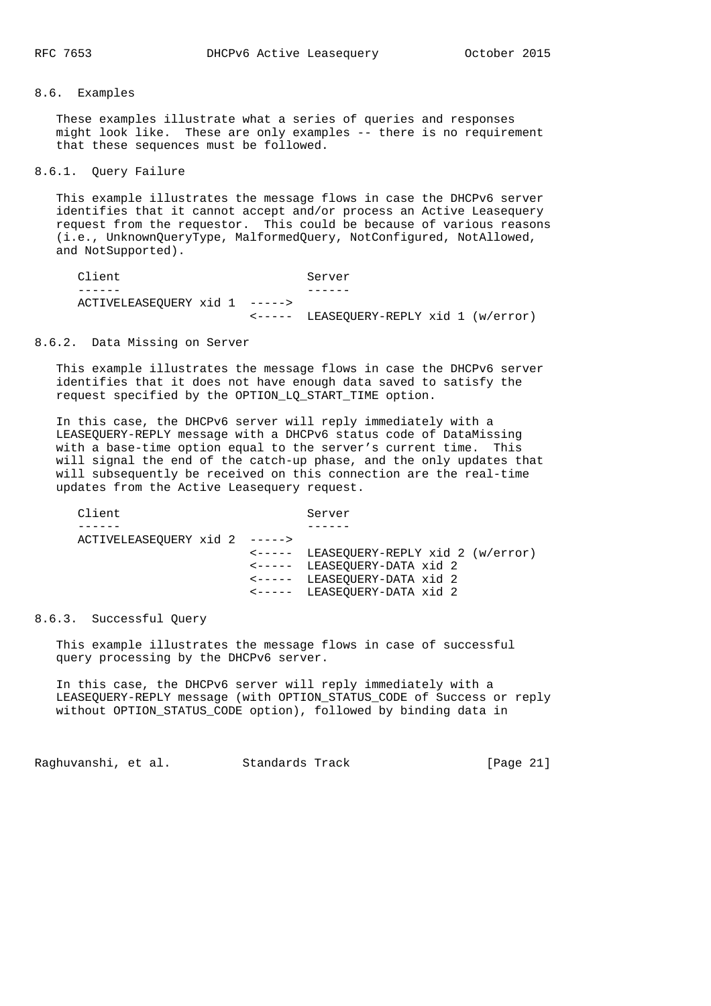## 8.6. Examples

 These examples illustrate what a series of queries and responses might look like. These are only examples -- there is no requirement that these sequences must be followed.

## 8.6.1. Query Failure

 This example illustrates the message flows in case the DHCPv6 server identifies that it cannot accept and/or process an Active Leasequery request from the requestor. This could be because of various reasons (i.e., UnknownQueryType, MalformedQuery, NotConfigured, NotAllowed, and NotSupported).

| Client                        | Server                                           |  |
|-------------------------------|--------------------------------------------------|--|
|                               |                                                  |  |
| ACTIVELEASEOUERY xid 1 -----> |                                                  |  |
|                               | $\leftarrow---$ LEASEOUERY-REPLY xid 1 (w/error) |  |

#### 8.6.2. Data Missing on Server

 This example illustrates the message flows in case the DHCPv6 server identifies that it does not have enough data saved to satisfy the request specified by the OPTION\_LQ\_START\_TIME option.

 In this case, the DHCPv6 server will reply immediately with a LEASEQUERY-REPLY message with a DHCPv6 status code of DataMissing with a base-time option equal to the server's current time. This will signal the end of the catch-up phase, and the only updates that will subsequently be received on this connection are the real-time updates from the Active Leasequery request.

| Client                        | Server                                  |
|-------------------------------|-----------------------------------------|
|                               |                                         |
| ACTIVELEASEOUERY xid 2 -----> |                                         |
|                               | <----- LEASEQUERY-REPLY xid 2 (w/error) |
|                               | <----- LEASEQUERY-DATA xid 2            |
|                               | <----- LEASEQUERY-DATA xid 2            |
|                               | <----- LEASEQUERY-DATA xid 2            |
|                               |                                         |

## 8.6.3. Successful Query

 This example illustrates the message flows in case of successful query processing by the DHCPv6 server.

 In this case, the DHCPv6 server will reply immediately with a LEASEQUERY-REPLY message (with OPTION\_STATUS\_CODE of Success or reply without OPTION\_STATUS\_CODE option), followed by binding data in

Raghuvanshi, et al. Standards Track [Page 21]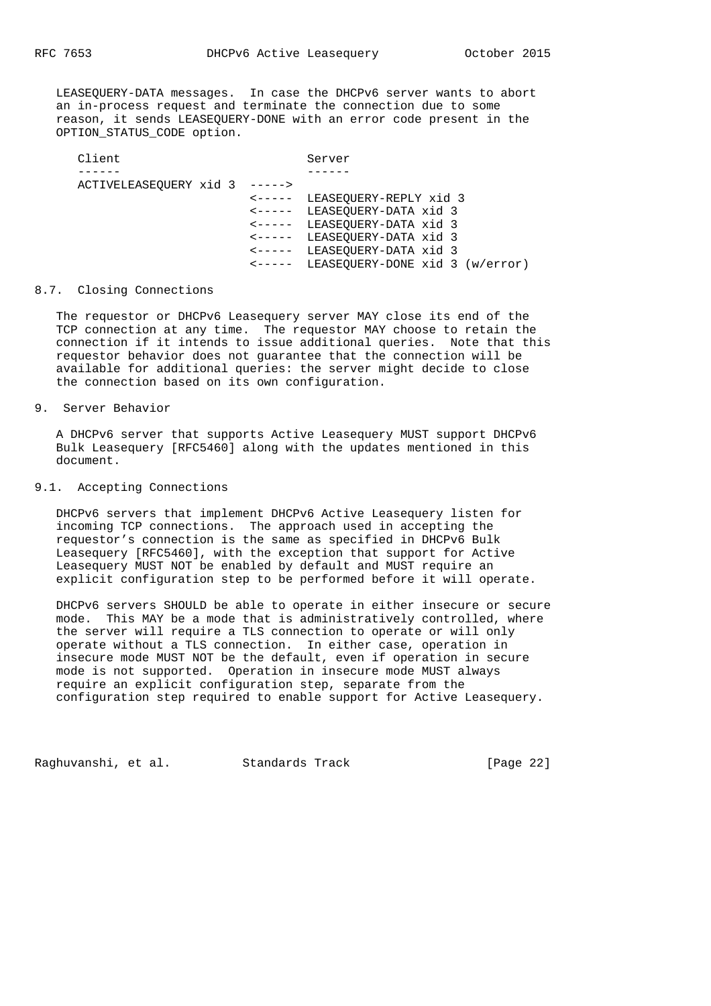LEASEQUERY-DATA messages. In case the DHCPv6 server wants to abort an in-process request and terminate the connection due to some reason, it sends LEASEQUERY-DONE with an error code present in the OPTION\_STATUS\_CODE option.

| Client                        | Server                                 |
|-------------------------------|----------------------------------------|
|                               |                                        |
| ACTIVELEASEQUERY xid 3 -----> |                                        |
|                               | <----- LEASEQUERY-REPLY xid 3          |
|                               | <----- LEASEQUERY-DATA xid 3           |
|                               | <----- LEASEQUERY-DATA xid 3           |
|                               | <----- LEASEQUERY-DATA xid 3           |
|                               | <----- LEASEQUERY-DATA xid 3           |
|                               | <----- LEASEQUERY-DONE xid 3 (w/error) |

### 8.7. Closing Connections

 The requestor or DHCPv6 Leasequery server MAY close its end of the TCP connection at any time. The requestor MAY choose to retain the connection if it intends to issue additional queries. Note that this requestor behavior does not guarantee that the connection will be available for additional queries: the server might decide to close the connection based on its own configuration.

# 9. Server Behavior

 A DHCPv6 server that supports Active Leasequery MUST support DHCPv6 Bulk Leasequery [RFC5460] along with the updates mentioned in this document.

## 9.1. Accepting Connections

 DHCPv6 servers that implement DHCPv6 Active Leasequery listen for incoming TCP connections. The approach used in accepting the requestor's connection is the same as specified in DHCPv6 Bulk Leasequery [RFC5460], with the exception that support for Active Leasequery MUST NOT be enabled by default and MUST require an explicit configuration step to be performed before it will operate.

 DHCPv6 servers SHOULD be able to operate in either insecure or secure mode. This MAY be a mode that is administratively controlled, where the server will require a TLS connection to operate or will only operate without a TLS connection. In either case, operation in insecure mode MUST NOT be the default, even if operation in secure mode is not supported. Operation in insecure mode MUST always require an explicit configuration step, separate from the configuration step required to enable support for Active Leasequery.

Raghuvanshi, et al. Standards Track [Page 22]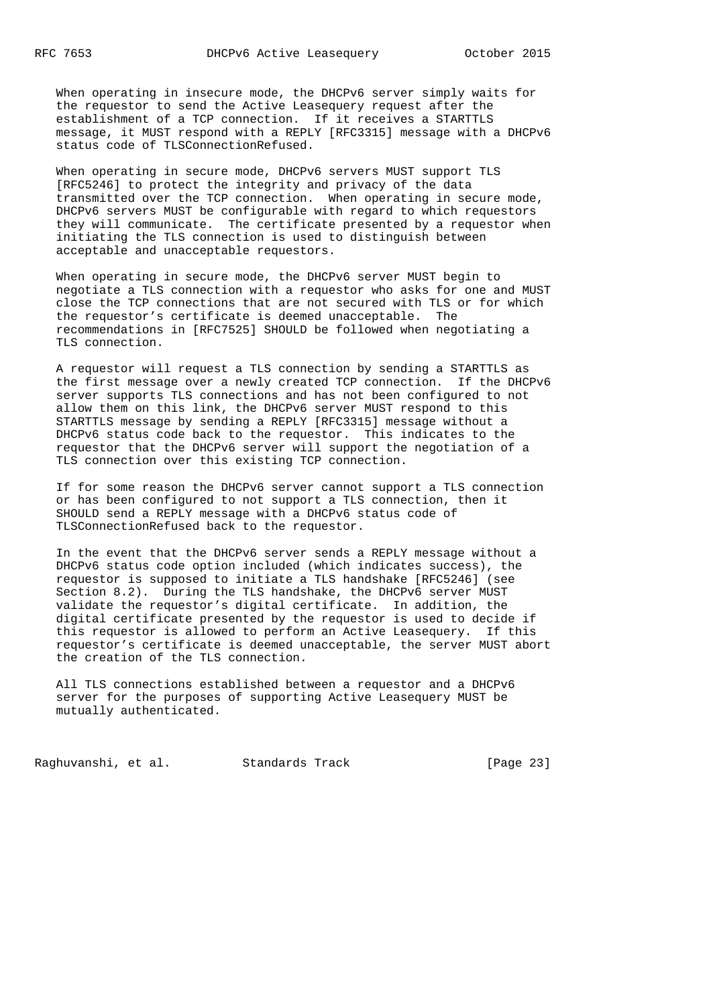When operating in insecure mode, the DHCPv6 server simply waits for the requestor to send the Active Leasequery request after the establishment of a TCP connection. If it receives a STARTTLS message, it MUST respond with a REPLY [RFC3315] message with a DHCPv6 status code of TLSConnectionRefused.

 When operating in secure mode, DHCPv6 servers MUST support TLS [RFC5246] to protect the integrity and privacy of the data transmitted over the TCP connection. When operating in secure mode, DHCPv6 servers MUST be configurable with regard to which requestors they will communicate. The certificate presented by a requestor when initiating the TLS connection is used to distinguish between acceptable and unacceptable requestors.

 When operating in secure mode, the DHCPv6 server MUST begin to negotiate a TLS connection with a requestor who asks for one and MUST close the TCP connections that are not secured with TLS or for which the requestor's certificate is deemed unacceptable. The recommendations in [RFC7525] SHOULD be followed when negotiating a TLS connection.

 A requestor will request a TLS connection by sending a STARTTLS as the first message over a newly created TCP connection. If the DHCPv6 server supports TLS connections and has not been configured to not allow them on this link, the DHCPv6 server MUST respond to this STARTTLS message by sending a REPLY [RFC3315] message without a DHCPv6 status code back to the requestor. This indicates to the requestor that the DHCPv6 server will support the negotiation of a TLS connection over this existing TCP connection.

 If for some reason the DHCPv6 server cannot support a TLS connection or has been configured to not support a TLS connection, then it SHOULD send a REPLY message with a DHCPv6 status code of TLSConnectionRefused back to the requestor.

 In the event that the DHCPv6 server sends a REPLY message without a DHCPv6 status code option included (which indicates success), the requestor is supposed to initiate a TLS handshake [RFC5246] (see Section 8.2). During the TLS handshake, the DHCPv6 server MUST validate the requestor's digital certificate. In addition, the digital certificate presented by the requestor is used to decide if this requestor is allowed to perform an Active Leasequery. If this requestor's certificate is deemed unacceptable, the server MUST abort the creation of the TLS connection.

 All TLS connections established between a requestor and a DHCPv6 server for the purposes of supporting Active Leasequery MUST be mutually authenticated.

Raghuvanshi, et al. Standards Track [Page 23]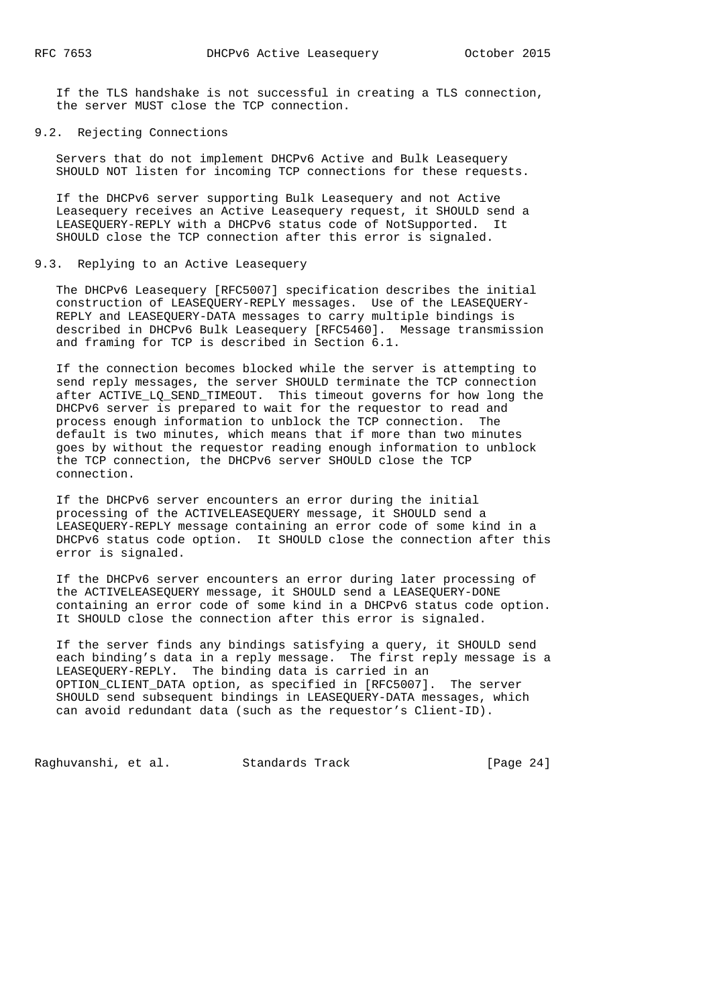If the TLS handshake is not successful in creating a TLS connection, the server MUST close the TCP connection.

9.2. Rejecting Connections

 Servers that do not implement DHCPv6 Active and Bulk Leasequery SHOULD NOT listen for incoming TCP connections for these requests.

 If the DHCPv6 server supporting Bulk Leasequery and not Active Leasequery receives an Active Leasequery request, it SHOULD send a LEASEQUERY-REPLY with a DHCPv6 status code of NotSupported. It SHOULD close the TCP connection after this error is signaled.

## 9.3. Replying to an Active Leasequery

 The DHCPv6 Leasequery [RFC5007] specification describes the initial construction of LEASEQUERY-REPLY messages. Use of the LEASEQUERY- REPLY and LEASEQUERY-DATA messages to carry multiple bindings is described in DHCPv6 Bulk Leasequery [RFC5460]. Message transmission and framing for TCP is described in Section 6.1.

 If the connection becomes blocked while the server is attempting to send reply messages, the server SHOULD terminate the TCP connection after ACTIVE\_LQ\_SEND\_TIMEOUT. This timeout governs for how long the DHCPv6 server is prepared to wait for the requestor to read and process enough information to unblock the TCP connection. The default is two minutes, which means that if more than two minutes goes by without the requestor reading enough information to unblock the TCP connection, the DHCPv6 server SHOULD close the TCP connection.

 If the DHCPv6 server encounters an error during the initial processing of the ACTIVELEASEQUERY message, it SHOULD send a LEASEQUERY-REPLY message containing an error code of some kind in a DHCPv6 status code option. It SHOULD close the connection after this error is signaled.

 If the DHCPv6 server encounters an error during later processing of the ACTIVELEASEQUERY message, it SHOULD send a LEASEQUERY-DONE containing an error code of some kind in a DHCPv6 status code option. It SHOULD close the connection after this error is signaled.

 If the server finds any bindings satisfying a query, it SHOULD send each binding's data in a reply message. The first reply message is a LEASEQUERY-REPLY. The binding data is carried in an OPTION\_CLIENT\_DATA option, as specified in [RFC5007]. The server SHOULD send subsequent bindings in LEASEQUERY-DATA messages, which can avoid redundant data (such as the requestor's Client-ID).

Raghuvanshi, et al. Standards Track [Page 24]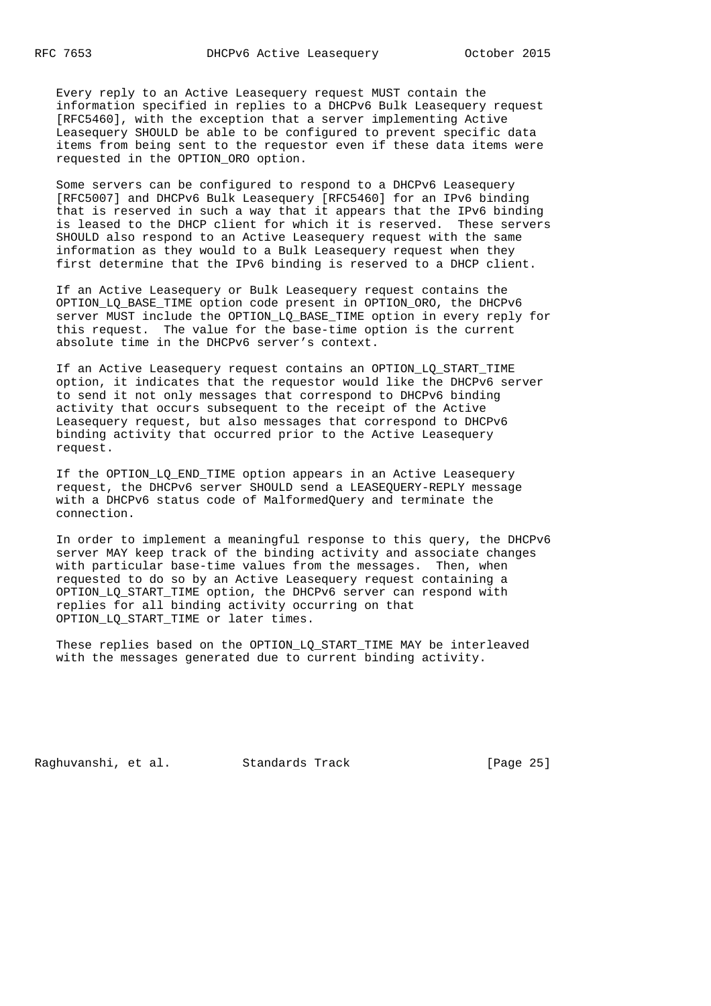Every reply to an Active Leasequery request MUST contain the information specified in replies to a DHCPv6 Bulk Leasequery request [RFC5460], with the exception that a server implementing Active Leasequery SHOULD be able to be configured to prevent specific data items from being sent to the requestor even if these data items were requested in the OPTION\_ORO option.

 Some servers can be configured to respond to a DHCPv6 Leasequery [RFC5007] and DHCPv6 Bulk Leasequery [RFC5460] for an IPv6 binding that is reserved in such a way that it appears that the IPv6 binding is leased to the DHCP client for which it is reserved. These servers SHOULD also respond to an Active Leasequery request with the same information as they would to a Bulk Leasequery request when they first determine that the IPv6 binding is reserved to a DHCP client.

 If an Active Leasequery or Bulk Leasequery request contains the OPTION\_LQ\_BASE\_TIME option code present in OPTION\_ORO, the DHCPv6 server MUST include the OPTION\_LQ\_BASE\_TIME option in every reply for this request. The value for the base-time option is the current absolute time in the DHCPv6 server's context.

 If an Active Leasequery request contains an OPTION\_LQ\_START\_TIME option, it indicates that the requestor would like the DHCPv6 server to send it not only messages that correspond to DHCPv6 binding activity that occurs subsequent to the receipt of the Active Leasequery request, but also messages that correspond to DHCPv6 binding activity that occurred prior to the Active Leasequery request.

 If the OPTION\_LQ\_END\_TIME option appears in an Active Leasequery request, the DHCPv6 server SHOULD send a LEASEQUERY-REPLY message with a DHCPv6 status code of MalformedQuery and terminate the connection.

 In order to implement a meaningful response to this query, the DHCPv6 server MAY keep track of the binding activity and associate changes with particular base-time values from the messages. Then, when requested to do so by an Active Leasequery request containing a OPTION\_LQ\_START\_TIME option, the DHCPv6 server can respond with replies for all binding activity occurring on that OPTION\_LQ\_START\_TIME or later times.

 These replies based on the OPTION\_LQ\_START\_TIME MAY be interleaved with the messages generated due to current binding activity.

Raghuvanshi, et al. Standards Track [Page 25]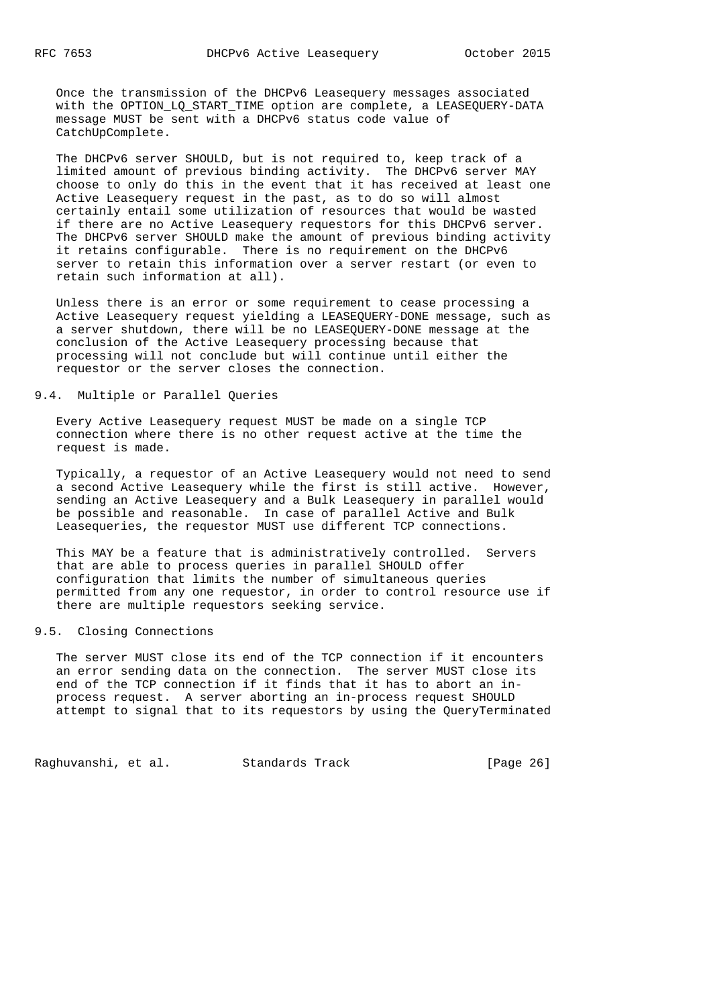Once the transmission of the DHCPv6 Leasequery messages associated with the OPTION\_LQ\_START\_TIME option are complete, a LEASEQUERY-DATA message MUST be sent with a DHCPv6 status code value of CatchUpComplete.

 The DHCPv6 server SHOULD, but is not required to, keep track of a limited amount of previous binding activity. The DHCPv6 server MAY choose to only do this in the event that it has received at least one Active Leasequery request in the past, as to do so will almost certainly entail some utilization of resources that would be wasted if there are no Active Leasequery requestors for this DHCPv6 server. The DHCPv6 server SHOULD make the amount of previous binding activity it retains configurable. There is no requirement on the DHCPv6 server to retain this information over a server restart (or even to retain such information at all).

 Unless there is an error or some requirement to cease processing a Active Leasequery request yielding a LEASEQUERY-DONE message, such as a server shutdown, there will be no LEASEQUERY-DONE message at the conclusion of the Active Leasequery processing because that processing will not conclude but will continue until either the requestor or the server closes the connection.

## 9.4. Multiple or Parallel Queries

 Every Active Leasequery request MUST be made on a single TCP connection where there is no other request active at the time the request is made.

 Typically, a requestor of an Active Leasequery would not need to send a second Active Leasequery while the first is still active. However, sending an Active Leasequery and a Bulk Leasequery in parallel would be possible and reasonable. In case of parallel Active and Bulk Leasequeries, the requestor MUST use different TCP connections.

 This MAY be a feature that is administratively controlled. Servers that are able to process queries in parallel SHOULD offer configuration that limits the number of simultaneous queries permitted from any one requestor, in order to control resource use if there are multiple requestors seeking service.

## 9.5. Closing Connections

 The server MUST close its end of the TCP connection if it encounters an error sending data on the connection. The server MUST close its end of the TCP connection if it finds that it has to abort an in process request. A server aborting an in-process request SHOULD attempt to signal that to its requestors by using the QueryTerminated

Raghuvanshi, et al. Standards Track [Page 26]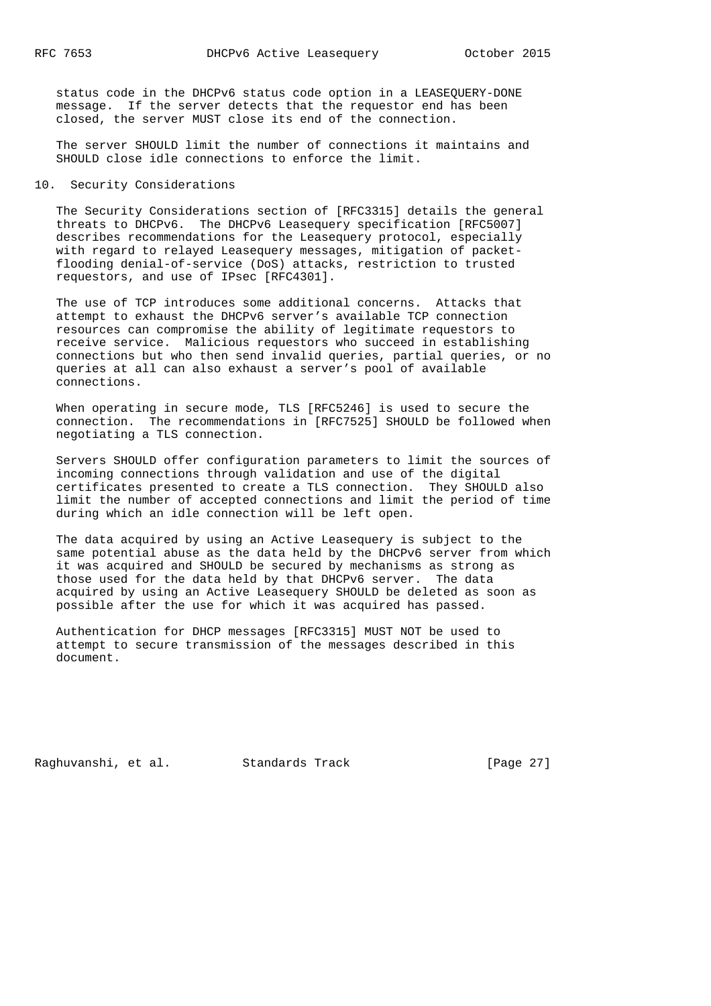status code in the DHCPv6 status code option in a LEASEQUERY-DONE message. If the server detects that the requestor end has been closed, the server MUST close its end of the connection.

 The server SHOULD limit the number of connections it maintains and SHOULD close idle connections to enforce the limit.

#### 10. Security Considerations

 The Security Considerations section of [RFC3315] details the general threats to DHCPv6. The DHCPv6 Leasequery specification [RFC5007] describes recommendations for the Leasequery protocol, especially with regard to relayed Leasequery messages, mitigation of packet flooding denial-of-service (DoS) attacks, restriction to trusted requestors, and use of IPsec [RFC4301].

 The use of TCP introduces some additional concerns. Attacks that attempt to exhaust the DHCPv6 server's available TCP connection resources can compromise the ability of legitimate requestors to receive service. Malicious requestors who succeed in establishing connections but who then send invalid queries, partial queries, or no queries at all can also exhaust a server's pool of available connections.

 When operating in secure mode, TLS [RFC5246] is used to secure the connection. The recommendations in [RFC7525] SHOULD be followed when negotiating a TLS connection.

 Servers SHOULD offer configuration parameters to limit the sources of incoming connections through validation and use of the digital certificates presented to create a TLS connection. They SHOULD also limit the number of accepted connections and limit the period of time during which an idle connection will be left open.

 The data acquired by using an Active Leasequery is subject to the same potential abuse as the data held by the DHCPv6 server from which it was acquired and SHOULD be secured by mechanisms as strong as those used for the data held by that DHCPv6 server. The data acquired by using an Active Leasequery SHOULD be deleted as soon as possible after the use for which it was acquired has passed.

 Authentication for DHCP messages [RFC3315] MUST NOT be used to attempt to secure transmission of the messages described in this document.

Raghuvanshi, et al. Standards Track [Page 27]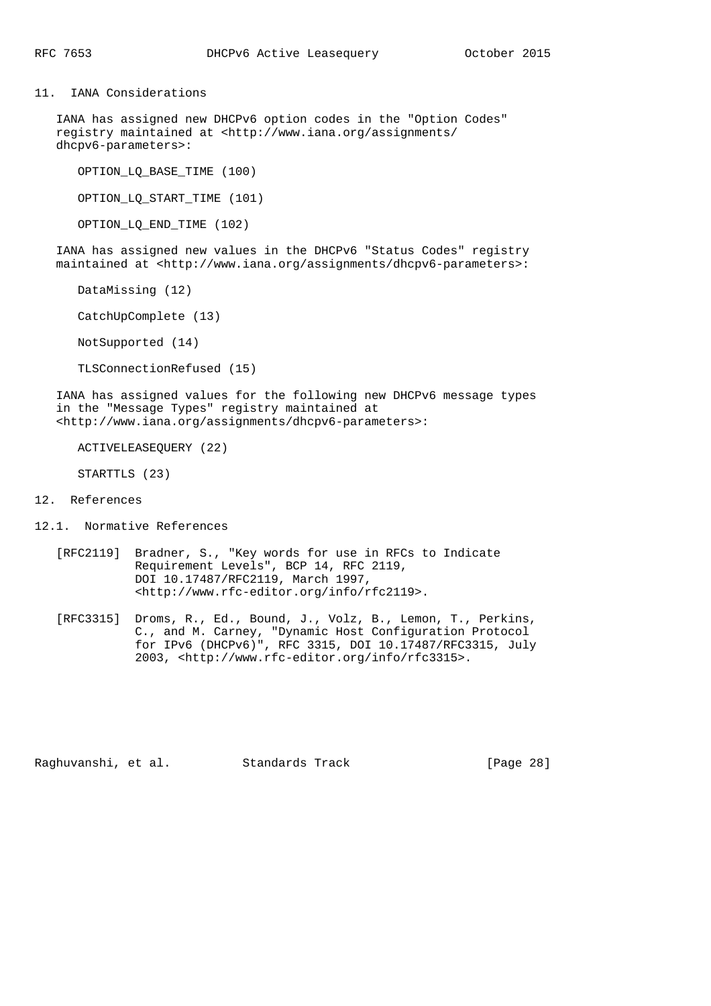11. IANA Considerations

 IANA has assigned new DHCPv6 option codes in the "Option Codes" registry maintained at <http://www.iana.org/assignments/ dhcpv6-parameters>:

OPTION\_LQ\_BASE\_TIME (100)

OPTION\_LQ\_START\_TIME (101)

OPTION\_LQ\_END\_TIME (102)

 IANA has assigned new values in the DHCPv6 "Status Codes" registry maintained at <http://www.iana.org/assignments/dhcpv6-parameters>:

DataMissing (12)

CatchUpComplete (13)

NotSupported (14)

TLSConnectionRefused (15)

 IANA has assigned values for the following new DHCPv6 message types in the "Message Types" registry maintained at <http://www.iana.org/assignments/dhcpv6-parameters>:

ACTIVELEASEQUERY (22)

STARTTLS (23)

#### 12. References

- 12.1. Normative References
	- [RFC2119] Bradner, S., "Key words for use in RFCs to Indicate Requirement Levels", BCP 14, RFC 2119, DOI 10.17487/RFC2119, March 1997, <http://www.rfc-editor.org/info/rfc2119>.
	- [RFC3315] Droms, R., Ed., Bound, J., Volz, B., Lemon, T., Perkins, C., and M. Carney, "Dynamic Host Configuration Protocol for IPv6 (DHCPv6)", RFC 3315, DOI 10.17487/RFC3315, July 2003, <http://www.rfc-editor.org/info/rfc3315>.

Raghuvanshi, et al. Standards Track [Page 28]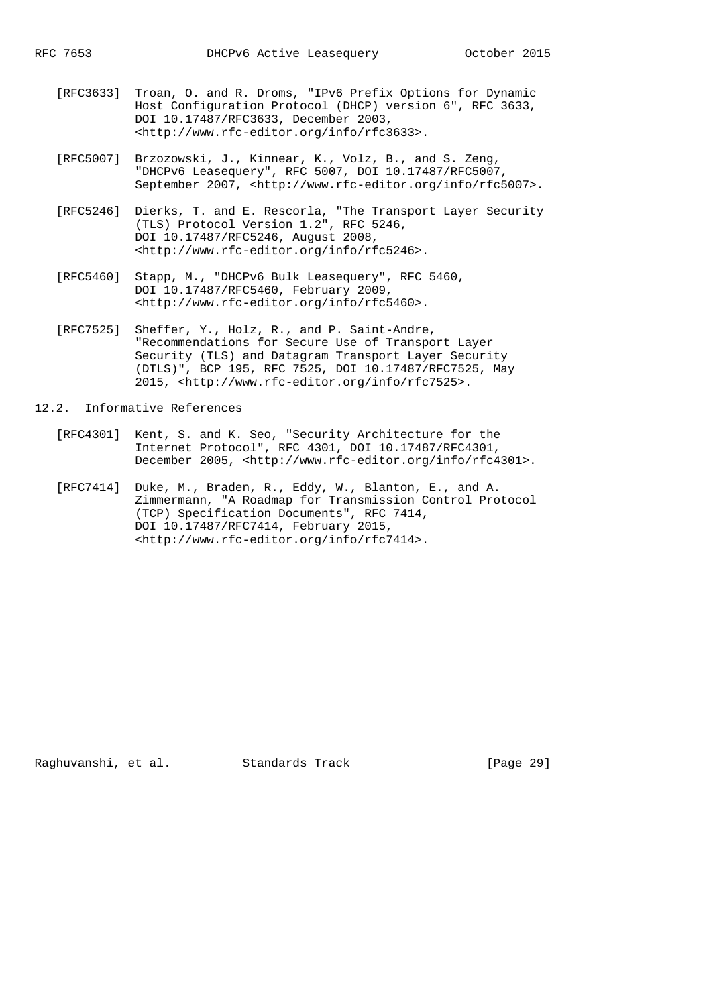- [RFC3633] Troan, O. and R. Droms, "IPv6 Prefix Options for Dynamic Host Configuration Protocol (DHCP) version 6", RFC 3633, DOI 10.17487/RFC3633, December 2003, <http://www.rfc-editor.org/info/rfc3633>.
- [RFC5007] Brzozowski, J., Kinnear, K., Volz, B., and S. Zeng, "DHCPv6 Leasequery", RFC 5007, DOI 10.17487/RFC5007, September 2007, <http://www.rfc-editor.org/info/rfc5007>.
- [RFC5246] Dierks, T. and E. Rescorla, "The Transport Layer Security (TLS) Protocol Version 1.2", RFC 5246, DOI 10.17487/RFC5246, August 2008, <http://www.rfc-editor.org/info/rfc5246>.
- [RFC5460] Stapp, M., "DHCPv6 Bulk Leasequery", RFC 5460, DOI 10.17487/RFC5460, February 2009, <http://www.rfc-editor.org/info/rfc5460>.
- [RFC7525] Sheffer, Y., Holz, R., and P. Saint-Andre, "Recommendations for Secure Use of Transport Layer Security (TLS) and Datagram Transport Layer Security (DTLS)", BCP 195, RFC 7525, DOI 10.17487/RFC7525, May 2015, <http://www.rfc-editor.org/info/rfc7525>.
- 12.2. Informative References
	- [RFC4301] Kent, S. and K. Seo, "Security Architecture for the Internet Protocol", RFC 4301, DOI 10.17487/RFC4301, December 2005, <http://www.rfc-editor.org/info/rfc4301>.
	- [RFC7414] Duke, M., Braden, R., Eddy, W., Blanton, E., and A. Zimmermann, "A Roadmap for Transmission Control Protocol (TCP) Specification Documents", RFC 7414, DOI 10.17487/RFC7414, February 2015, <http://www.rfc-editor.org/info/rfc7414>.

Raghuvanshi, et al. Standards Track [Page 29]